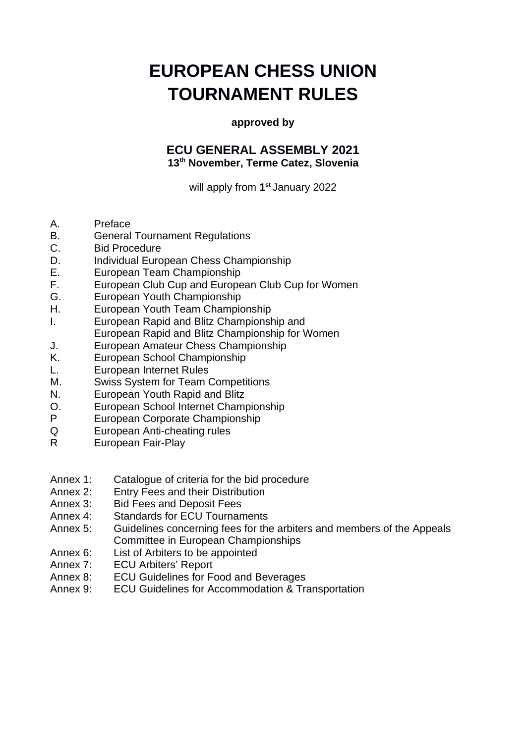# **EUROPEAN CHESS UNION TOURNAMENT RULES**

#### **approved by**

# **ECU GENERAL ASSEMBLY 2021 13th November, Terme Catez, Slovenia**

will apply from **1 st** January 2022

- A. Preface
- B. General Tournament Regulations
- C. Bid Procedure
- D. Individual European Chess Championship
- E. European Team Championship
- F. European Club Cup and European Club Cup for Women
- G. European Youth Championship
- H. European Youth Team Championship
- I. European Rapid and Blitz Championship and European Rapid and Blitz Championship for Women
- J. European Amateur Chess Championship
- K. European School Championship
- L. European Internet Rules
- M. Swiss System for Team Competitions
- N. European Youth Rapid and Blitz
- O. European School Internet Championship
- P European Corporate Championship
- Q European Anti-cheating rules
- R European Fair-Play

#### Annex 1: Catalogue of criteria for the bid procedure

- Annex 2: Entry Fees and their Distribution
- Annex 3: Bid Fees and Deposit Fees
- Annex 4: Standards for ECU Tournaments
- Annex 5: Guidelines concerning fees for the arbiters and members of the Appeals Committee in European Championships
- Annex 6: List of Arbiters to be appointed
- Annex 7: ECU Arbiters' Report
- Annex 8: ECU Guidelines for Food and Beverages
- Annex 9: ECU Guidelines for Accommodation & Transportation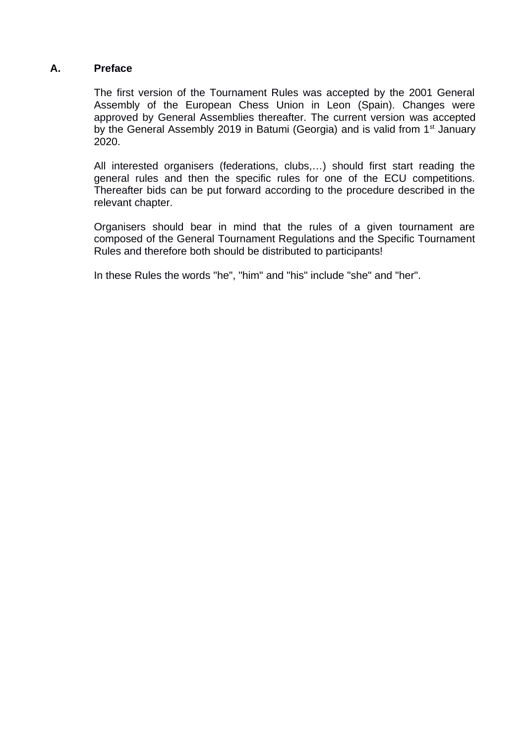#### **A. Preface**

The first version of the Tournament Rules was accepted by the 2001 General Assembly of the European Chess Union in Leon (Spain). Changes were approved by General Assemblies thereafter. The current version was accepted by the General Assembly 2019 in Batumi (Georgia) and is valid from  $1<sup>st</sup>$  January 2020.

All interested organisers (federations, clubs,…) should first start reading the general rules and then the specific rules for one of the ECU competitions. Thereafter bids can be put forward according to the procedure described in the relevant chapter.

Organisers should bear in mind that the rules of a given tournament are composed of the General Tournament Regulations and the Specific Tournament Rules and therefore both should be distributed to participants!

In these Rules the words "he", "him" and "his" include "she" and "her".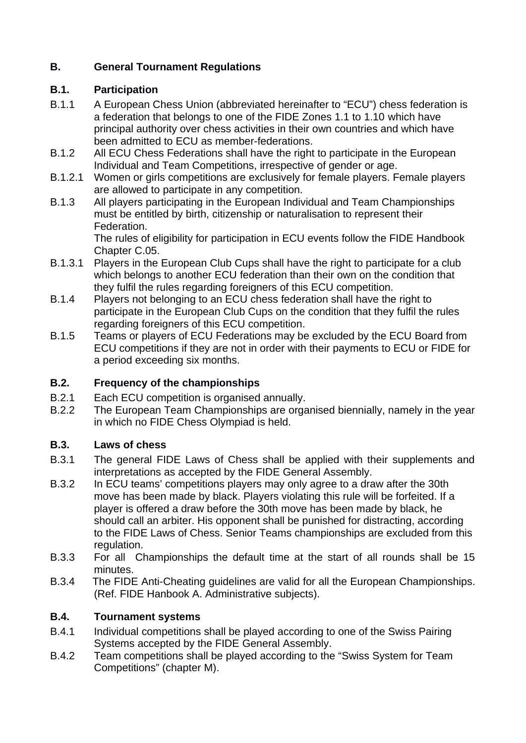# **B. General Tournament Regulations**

# **B.1. Participation**

- B.1.1 A European Chess Union (abbreviated hereinafter to "ECU") chess federation is a federation that belongs to one of the FIDE Zones 1.1 to 1.10 which have principal authority over chess activities in their own countries and which have been admitted to ECU as member-federations.
- B.1.2 All ECU Chess Federations shall have the right to participate in the European Individual and Team Competitions, irrespective of gender or age.
- B.1.2.1 Women or girls competitions are exclusively for female players. Female players are allowed to participate in any competition.
- B.1.3 All players participating in the European Individual and Team Championships must be entitled by birth, citizenship or naturalisation to represent their Federation.

The rules of eligibility for participation in ECU events follow the FIDE Handbook Chapter C.05.

- B.1.3.1 Players in the European Club Cups shall have the right to participate for a club which belongs to another ECU federation than their own on the condition that they fulfil the rules regarding foreigners of this ECU competition.
- B.1.4 Players not belonging to an ECU chess federation shall have the right to participate in the European Club Cups on the condition that they fulfil the rules regarding foreigners of this ECU competition.
- B.1.5 Teams or players of ECU Federations may be excluded by the ECU Board from ECU competitions if they are not in order with their payments to ECU or FIDE for a period exceeding six months.

# **B.2. Frequency of the championships**

- B.2.1 Each ECU competition is organised annually.
- B.2.2 The European Team Championships are organised biennially, namely in the year in which no FIDE Chess Olympiad is held.

# **B.3. Laws of chess**

- B.3.1 The general FIDE Laws of Chess shall be applied with their supplements and interpretations as accepted by the FIDE General Assembly.
- B.3.2 In ECU teams' competitions players may only agree to a draw after the 30th move has been made by black. Players violating this rule will be forfeited. If a player is offered a draw before the 30th move has been made by black, he should call an arbiter. His opponent shall be punished for distracting, according to the FIDE Laws of Chess. Senior Teams championships are excluded from this regulation.
- B.3.3 For all Championships the default time at the start of all rounds shall be 15 minutes.
- B.3.4 The FIDE Anti-Cheating guidelines are valid for all the European Championships. (Ref. FIDE Hanbook A. Administrative subjects).

# **B.4. Tournament systems**

- B.4.1 Individual competitions shall be played according to one of the Swiss Pairing Systems accepted by the FIDE General Assembly.
- B.4.2 Team competitions shall be played according to the "Swiss System for Team Competitions" (chapter M).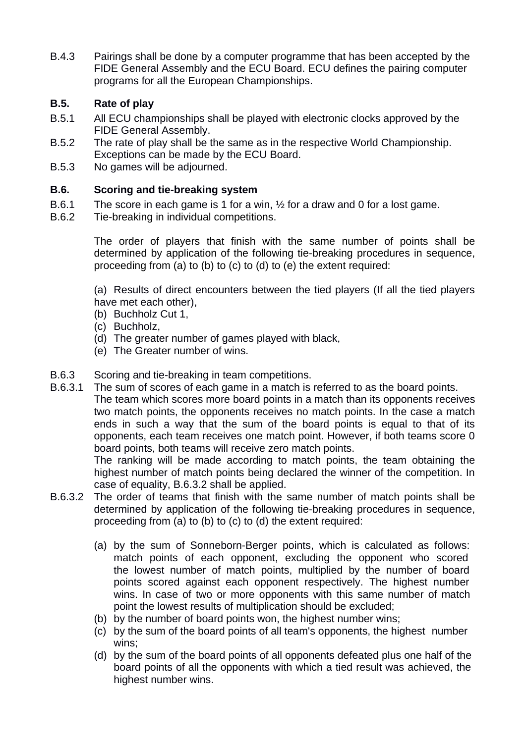B.4.3 Pairings shall be done by a computer programme that has been accepted by the FIDE General Assembly and the ECU Board. ECU defines the pairing computer programs for all the European Championships.

# **B.5. Rate of play**

- B.5.1 All ECU championships shall be played with electronic clocks approved by the FIDE General Assembly.
- B.5.2 The rate of play shall be the same as in the respective World Championship. Exceptions can be made by the ECU Board.
- B.5.3 No games will be adjourned.

# **B.6. Scoring and tie-breaking system**

- B.6.1 The score in each game is 1 for a win, ½ for a draw and 0 for a lost game.
- B.6.2 Tie-breaking in individual competitions.

The order of players that finish with the same number of points shall be determined by application of the following tie-breaking procedures in sequence, proceeding from (a) to (b) to (c) to (d) to (e) the extent required:

(a) Results of direct encounters between the tied players (If all the tied players have met each other),

- (b) Buchholz Cut 1,
- (c) Buchholz,
- (d) The greater number of games played with black,
- (e) The Greater number of wins.
- B.6.3 Scoring and tie-breaking in team competitions.
- B.6.3.1 The sum of scores of each game in a match is referred to as the board points. The team which scores more board points in a match than its opponents receives two match points, the opponents receives no match points. In the case a match ends in such a way that the sum of the board points is equal to that of its opponents, each team receives one match point. However, if both teams score 0 board points, both teams will receive zero match points.

The ranking will be made according to match points, the team obtaining the highest number of match points being declared the winner of the competition. In case of equality, B.6.3.2 shall be applied.

- B.6.3.2 The order of teams that finish with the same number of match points shall be determined by application of the following tie-breaking procedures in sequence, proceeding from (a) to (b) to (c) to (d) the extent required:
	- (a) by the sum of Sonneborn-Berger points, which is calculated as follows: match points of each opponent, excluding the opponent who scored the lowest number of match points, multiplied by the number of board points scored against each opponent respectively. The highest number wins. In case of two or more opponents with this same number of match point the lowest results of multiplication should be excluded;
	- (b) by the number of board points won, the highest number wins;
	- (c) by the sum of the board points of all team's opponents, the highest number wins;
	- (d) by the sum of the board points of all opponents defeated plus one half of the board points of all the opponents with which a tied result was achieved, the highest number wins.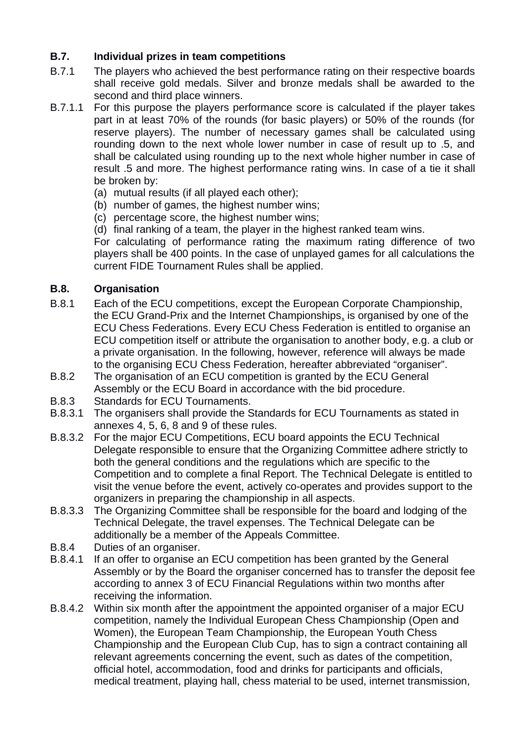# **B.7. Individual prizes in team competitions**

- B.7.1 The players who achieved the best performance rating on their respective boards shall receive gold medals. Silver and bronze medals shall be awarded to the second and third place winners.
- B.7.1.1 For this purpose the players performance score is calculated if the player takes part in at least 70% of the rounds (for basic players) or 50% of the rounds (for reserve players). The number of necessary games shall be calculated using rounding down to the next whole lower number in case of result up to .5, and shall be calculated using rounding up to the next whole higher number in case of result .5 and more. The highest performance rating wins. In case of a tie it shall be broken by:
	- (a) mutual results (if all played each other);
	- (b) number of games, the highest number wins;
	- (c) percentage score, the highest number wins;
	- (d) final ranking of a team, the player in the highest ranked team wins.

For calculating of performance rating the maximum rating difference of two players shall be 400 points. In the case of unplayed games for all calculations the current FIDE Tournament Rules shall be applied.

### **B.8. Organisation**

- B.8.1 Each of the ECU competitions, except the European Corporate Championship, the ECU Grand-Prix and the Internet Championships, is organised by one of the ECU Chess Federations. Every ECU Chess Federation is entitled to organise an ECU competition itself or attribute the organisation to another body, e.g. a club or a private organisation. In the following, however, reference will always be made to the organising ECU Chess Federation, hereafter abbreviated "organiser".
- B.8.2 The organisation of an ECU competition is granted by the ECU General Assembly or the ECU Board in accordance with the bid procedure.
- B.8.3 Standards for ECU Tournaments.
- B.8.3.1 The organisers shall provide the Standards for ECU Tournaments as stated in annexes 4, 5, 6, 8 and 9 of these rules.
- B.8.3.2 For the major ECU Competitions, ECU board appoints the ECU Technical Delegate responsible to ensure that the Organizing Committee adhere strictly to both the general conditions and the regulations which are specific to the Competition and to complete a final Report. The Technical Delegate is entitled to visit the venue before the event, actively co-operates and provides support to the organizers in preparing the championship in all aspects.
- B.8.3.3 The Organizing Committee shall be responsible for the board and lodging of the Technical Delegate, the travel expenses. The Technical Delegate can be additionally be a member of the Appeals Committee.
- B.8.4 Duties of an organiser.
- B.8.4.1 If an offer to organise an ECU competition has been granted by the General Assembly or by the Board the organiser concerned has to transfer the deposit fee according to annex 3 of ECU Financial Regulations within two months after receiving the information.
- B.8.4.2 Within six month after the appointment the appointed organiser of a major ECU competition, namely the Individual European Chess Championship (Open and Women), the European Team Championship, the European Youth Chess Championship and the European Club Cup, has to sign a contract containing all relevant agreements concerning the event, such as dates of the competition, official hotel, accommodation, food and drinks for participants and officials, medical treatment, playing hall, chess material to be used, internet transmission,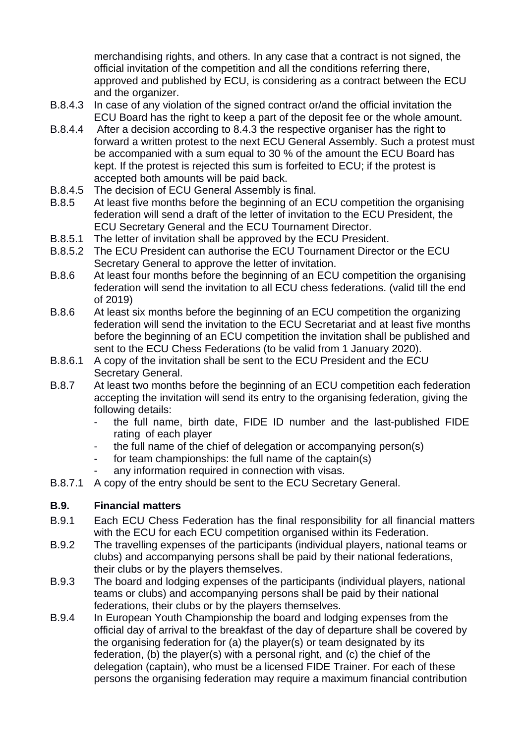merchandising rights, and others. In any case that a contract is not signed, the official invitation of the competition and all the conditions referring there, approved and published by ECU, is considering as a contract between the ECU and the organizer.

- B.8.4.3 In case of any violation of the signed contract or/and the official invitation the ECU Board has the right to keep a part of the deposit fee or the whole amount.
- B.8.4.4 After a decision according to 8.4.3 the respective organiser has the right to forward a written protest to the next ECU General Assembly. Such a protest must be accompanied with a sum equal to 30 % of the amount the ECU Board has kept. If the protest is rejected this sum is forfeited to ECU; if the protest is accepted both amounts will be paid back.
- B.8.4.5 The decision of ECU General Assembly is final.
- B.8.5 At least five months before the beginning of an ECU competition the organising federation will send a draft of the letter of invitation to the ECU President, the ECU Secretary General and the ECU Tournament Director.
- B.8.5.1 The letter of invitation shall be approved by the ECU President.
- B.8.5.2 The ECU President can authorise the ECU Tournament Director or the ECU Secretary General to approve the letter of invitation.
- B.8.6 At least four months before the beginning of an ECU competition the organising federation will send the invitation to all ECU chess federations. (valid till the end of 2019)
- B.8.6 At least six months before the beginning of an ECU competition the organizing federation will send the invitation to the ECU Secretariat and at least five months before the beginning of an ECU competition the invitation shall be published and sent to the ECU Chess Federations (to be valid from 1 January 2020).
- B.8.6.1 A copy of the invitation shall be sent to the ECU President and the ECU Secretary General.
- B.8.7 At least two months before the beginning of an ECU competition each federation accepting the invitation will send its entry to the organising federation, giving the following details:
	- the full name, birth date, FIDE ID number and the last-published FIDE rating of each player
	- the full name of the chief of delegation or accompanying person(s)
	- for team championships: the full name of the captain(s)
		- any information required in connection with visas.
- B.8.7.1 A copy of the entry should be sent to the ECU Secretary General.

# **B.9. Financial matters**

- B.9.1 Each ECU Chess Federation has the final responsibility for all financial matters with the ECU for each ECU competition organised within its Federation.
- B.9.2 The travelling expenses of the participants (individual players, national teams or clubs) and accompanying persons shall be paid by their national federations, their clubs or by the players themselves.
- B.9.3 The board and lodging expenses of the participants (individual players, national teams or clubs) and accompanying persons shall be paid by their national federations, their clubs or by the players themselves.
- B.9.4 In European Youth Championship the board and lodging expenses from the official day of arrival to the breakfast of the day of departure shall be covered by the organising federation for (a) the player(s) or team designated by its federation, (b) the player(s) with a personal right, and (c) the chief of the delegation (captain), who must be a licensed FIDE Trainer. For each of these persons the organising federation may require a maximum financial contribution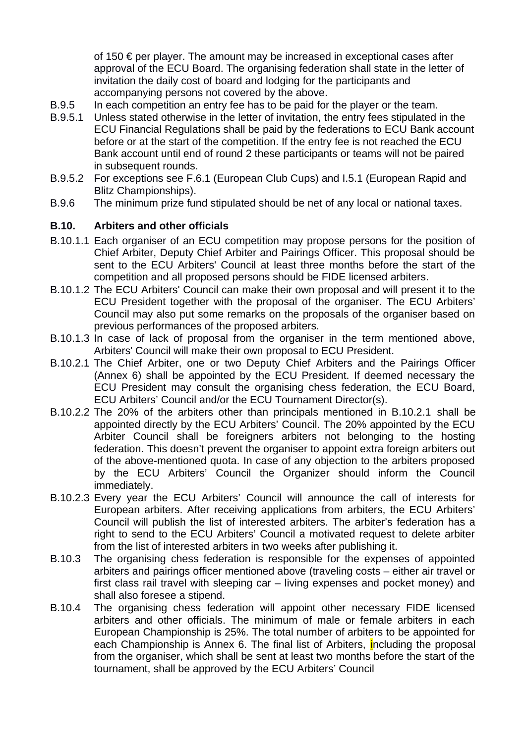of 150  $\epsilon$  per player. The amount may be increased in exceptional cases after approval of the ECU Board. The organising federation shall state in the letter of invitation the daily cost of board and lodging for the participants and accompanying persons not covered by the above.

- B.9.5 In each competition an entry fee has to be paid for the player or the team.
- B.9.5.1 Unless stated otherwise in the letter of invitation, the entry fees stipulated in the ECU Financial Regulations shall be paid by the federations to ECU Bank account before or at the start of the competition. If the entry fee is not reached the ECU Bank account until end of round 2 these participants or teams will not be paired in subsequent rounds.
- B.9.5.2 For exceptions see F.6.1 (European Club Cups) and I.5.1 (European Rapid and Blitz Championships).
- B.9.6 The minimum prize fund stipulated should be net of any local or national taxes.

### **B.10. Arbiters and other officials**

- B.10.1.1 Each organiser of an ECU competition may propose persons for the position of Chief Arbiter, Deputy Chief Arbiter and Pairings Officer. This proposal should be sent to the ECU Arbiters' Council at least three months before the start of the competition and all proposed persons should be FIDE licensed arbiters.
- B.10.1.2 The ECU Arbiters' Council can make their own proposal and will present it to the ECU President together with the proposal of the organiser. The ECU Arbiters' Council may also put some remarks on the proposals of the organiser based on previous performances of the proposed arbiters.
- B.10.1.3 In case of lack of proposal from the organiser in the term mentioned above, Arbiters' Council will make their own proposal to ECU President.
- B.10.2.1 The Chief Arbiter, one or two Deputy Chief Arbiters and the Pairings Officer (Annex 6) shall be appointed by the ECU President. If deemed necessary the ECU President may consult the organising chess federation, the ECU Board, ECU Arbiters' Council and/or the ECU Tournament Director(s).
- B.10.2.2 The 20% of the arbiters other than principals mentioned in B.10.2.1 shall be appointed directly by the ECU Arbiters' Council. The 20% appointed by the ECU Arbiter Council shall be foreigners arbiters not belonging to the hosting federation. This doesn't prevent the organiser to appoint extra foreign arbiters out of the above-mentioned quota. In case of any objection to the arbiters proposed by the ECU Arbiters' Council the Organizer should inform the Council immediately.
- B.10.2.3 Every year the ECU Arbiters' Council will announce the call of interests for European arbiters. After receiving applications from arbiters, the ECU Arbiters' Council will publish the list of interested arbiters. The arbiter's federation has a right to send to the ECU Arbiters' Council a motivated request to delete arbiter from the list of interested arbiters in two weeks after publishing it.
- B.10.3 The organising chess federation is responsible for the expenses of appointed arbiters and pairings officer mentioned above (traveling costs – either air travel or first class rail travel with sleeping car – living expenses and pocket money) and shall also foresee a stipend.
- B.10.4 The organising chess federation will appoint other necessary FIDE licensed arbiters and other officials. The minimum of male or female arbiters in each European Championship is 25%. The total number of arbiters to be appointed for each Championship is Annex 6. The final list of Arbiters, including the proposal from the organiser, which shall be sent at least two months before the start of the tournament, shall be approved by the ECU Arbiters' Council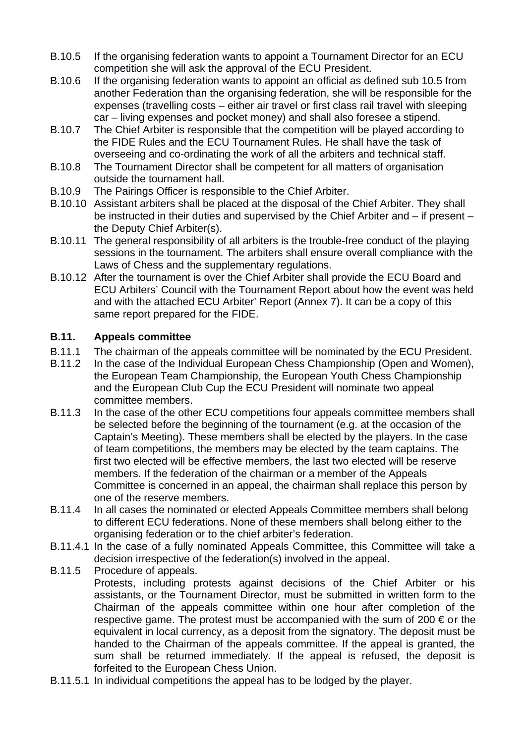- B.10.5 If the organising federation wants to appoint a Tournament Director for an ECU competition she will ask the approval of the ECU President.
- B.10.6 If the organising federation wants to appoint an official as defined sub 10.5 from another Federation than the organising federation, she will be responsible for the expenses (travelling costs – either air travel or first class rail travel with sleeping car – living expenses and pocket money) and shall also foresee a stipend.
- B.10.7 The Chief Arbiter is responsible that the competition will be played according to the FIDE Rules and the ECU Tournament Rules. He shall have the task of overseeing and co-ordinating the work of all the arbiters and technical staff.
- B.10.8 The Tournament Director shall be competent for all matters of organisation outside the tournament hall.
- B.10.9 The Pairings Officer is responsible to the Chief Arbiter.
- B.10.10 Assistant arbiters shall be placed at the disposal of the Chief Arbiter. They shall be instructed in their duties and supervised by the Chief Arbiter and – if present – the Deputy Chief Arbiter(s).
- B.10.11 The general responsibility of all arbiters is the trouble-free conduct of the playing sessions in the tournament. The arbiters shall ensure overall compliance with the Laws of Chess and the supplementary regulations.
- B.10.12 After the tournament is over the Chief Arbiter shall provide the ECU Board and ECU Arbiters' Council with the Tournament Report about how the event was held and with the attached ECU Arbiter' Report (Annex 7). It can be a copy of this same report prepared for the FIDE.

# **B.11. Appeals committee**

- B.11.1 The chairman of the appeals committee will be nominated by the ECU President.
- B.11.2 In the case of the Individual European Chess Championship (Open and Women), the European Team Championship, the European Youth Chess Championship and the European Club Cup the ECU President will nominate two appeal committee members.
- B.11.3 In the case of the other ECU competitions four appeals committee members shall be selected before the beginning of the tournament (e.g. at the occasion of the Captain's Meeting). These members shall be elected by the players. In the case of team competitions, the members may be elected by the team captains. The first two elected will be effective members, the last two elected will be reserve members. If the federation of the chairman or a member of the Appeals Committee is concerned in an appeal, the chairman shall replace this person by one of the reserve members.
- B.11.4 In all cases the nominated or elected Appeals Committee members shall belong to different ECU federations. None of these members shall belong either to the organising federation or to the chief arbiter's federation.
- B.11.4.1 In the case of a fully nominated Appeals Committee, this Committee will take a decision irrespective of the federation(s) involved in the appeal.
- B.11.5 Procedure of appeals. Protests, including protests against decisions of the Chief Arbiter or his assistants, or the Tournament Director, must be submitted in written form to the Chairman of the appeals committee within one hour after completion of the respective game. The protest must be accompanied with the sum of 200  $\epsilon$  or the equivalent in local currency, as a deposit from the signatory. The deposit must be handed to the Chairman of the appeals committee. If the appeal is granted, the sum shall be returned immediately. If the appeal is refused, the deposit is forfeited to the European Chess Union.
- B.11.5.1 In individual competitions the appeal has to be lodged by the player.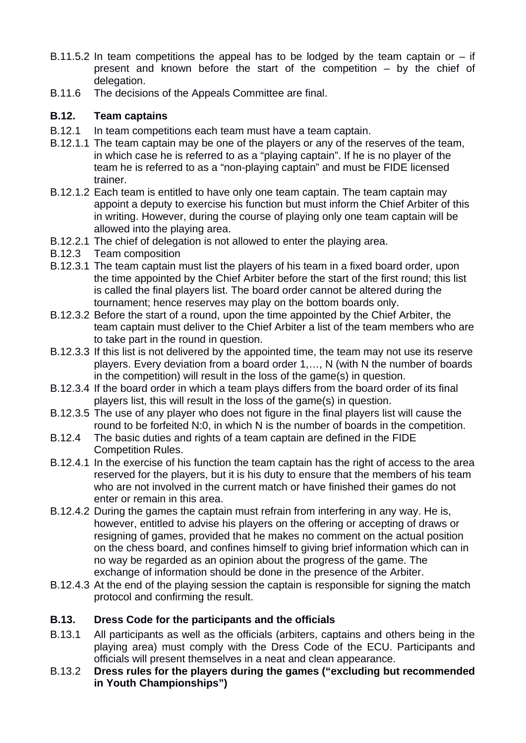- B.11.5.2 In team competitions the appeal has to be lodged by the team captain or  $-$  if present and known before the start of the competition – by the chief of delegation.
- B.11.6 The decisions of the Appeals Committee are final.

# **B.12. Team captains**

- B.12.1 In team competitions each team must have a team captain.
- B.12.1.1 The team captain may be one of the players or any of the reserves of the team, in which case he is referred to as a "playing captain". If he is no player of the team he is referred to as a "non-playing captain" and must be FIDE licensed trainer.
- B.12.1.2 Each team is entitled to have only one team captain. The team captain may appoint a deputy to exercise his function but must inform the Chief Arbiter of this in writing. However, during the course of playing only one team captain will be allowed into the playing area.
- B.12.2.1 The chief of delegation is not allowed to enter the playing area.
- B.12.3 Team composition
- B.12.3.1 The team captain must list the players of his team in a fixed board order, upon the time appointed by the Chief Arbiter before the start of the first round; this list is called the final players list. The board order cannot be altered during the tournament; hence reserves may play on the bottom boards only.
- B.12.3.2 Before the start of a round, upon the time appointed by the Chief Arbiter, the team captain must deliver to the Chief Arbiter a list of the team members who are to take part in the round in question.
- B.12.3.3 If this list is not delivered by the appointed time, the team may not use its reserve players. Every deviation from a board order 1,…, N (with N the number of boards in the competition) will result in the loss of the game(s) in question.
- B.12.3.4 If the board order in which a team plays differs from the board order of its final players list, this will result in the loss of the game(s) in question.
- B.12.3.5 The use of any player who does not figure in the final players list will cause the round to be forfeited N:0, in which N is the number of boards in the competition.
- B.12.4 The basic duties and rights of a team captain are defined in the FIDE Competition Rules.
- B.12.4.1 In the exercise of his function the team captain has the right of access to the area reserved for the players, but it is his duty to ensure that the members of his team who are not involved in the current match or have finished their games do not enter or remain in this area.
- B.12.4.2 During the games the captain must refrain from interfering in any way. He is, however, entitled to advise his players on the offering or accepting of draws or resigning of games, provided that he makes no comment on the actual position on the chess board, and confines himself to giving brief information which can in no way be regarded as an opinion about the progress of the game. The exchange of information should be done in the presence of the Arbiter.
- B.12.4.3 At the end of the playing session the captain is responsible for signing the match protocol and confirming the result.

# **B.13. Dress Code for the participants and the officials**

- B.13.1 All participants as well as the officials (arbiters, captains and others being in the playing area) must comply with the Dress Code of the ECU. Participants and officials will present themselves in a neat and clean appearance.
- B.13.2 **Dress rules for the players during the games ("excluding but recommended in Youth Championships")**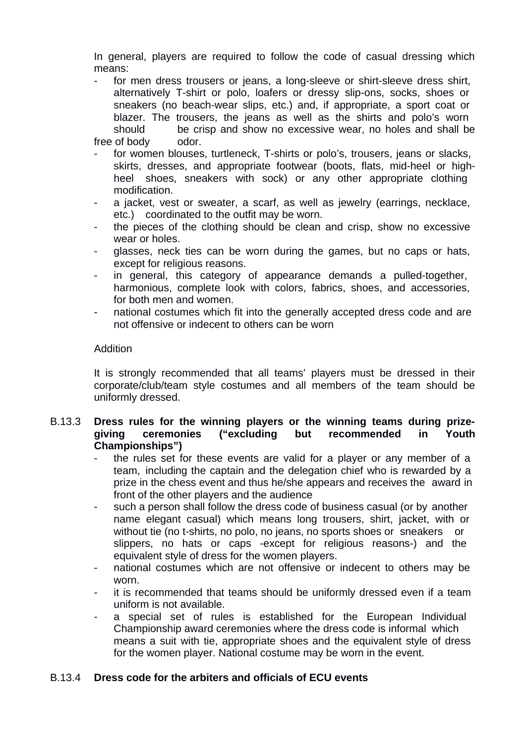In general, players are required to follow the code of casual dressing which means:

- for men dress trousers or jeans, a long-sleeve or shirt-sleeve dress shirt, alternatively T-shirt or polo, loafers or dressy slip-ons, socks, shoes or sneakers (no beach-wear slips, etc.) and, if appropriate, a sport coat or blazer. The trousers, the jeans as well as the shirts and polo's worn should be crisp and show no excessive wear, no holes and shall be free of body odor.
- for women blouses, turtleneck, T-shirts or polo's, trousers, jeans or slacks, skirts, dresses, and appropriate footwear (boots, flats, mid-heel or highheel shoes, sneakers with sock) or any other appropriate clothing modification.
- a jacket, vest or sweater, a scarf, as well as jewelry (earrings, necklace, etc.) coordinated to the outfit may be worn.
- the pieces of the clothing should be clean and crisp, show no excessive wear or holes.
- glasses, neck ties can be worn during the games, but no caps or hats, except for religious reasons.
- in general, this category of appearance demands a pulled-together, harmonious, complete look with colors, fabrics, shoes, and accessories, for both men and women.
- national costumes which fit into the generally accepted dress code and are not offensive or indecent to others can be worn

#### Addition

It is strongly recommended that all teams' players must be dressed in their corporate/club/team style costumes and all members of the team should be uniformly dressed.

#### B.13.3 **Dress rules for the winning players or the winning teams during prizegiving ceremonies ("excluding but recommended in Youth Championships")**

- the rules set for these events are valid for a player or any member of a team, including the captain and the delegation chief who is rewarded by a prize in the chess event and thus he/she appears and receives the award in front of the other players and the audience
- such a person shall follow the dress code of business casual (or by another name elegant casual) which means long trousers, shirt, jacket, with or without tie (no t-shirts, no polo, no jeans, no sports shoes or sneakers or slippers, no hats or caps -except for religious reasons-) and the equivalent style of dress for the women players.
- national costumes which are not offensive or indecent to others may be worn.
- it is recommended that teams should be uniformly dressed even if a team uniform is not available.
- a special set of rules is established for the European Individual Championship award ceremonies where the dress code is informal which means a suit with tie, appropriate shoes and the equivalent style of dress for the women player. National costume may be worn in the event.

# B.13.4 **Dress code for the arbiters and officials of ECU events**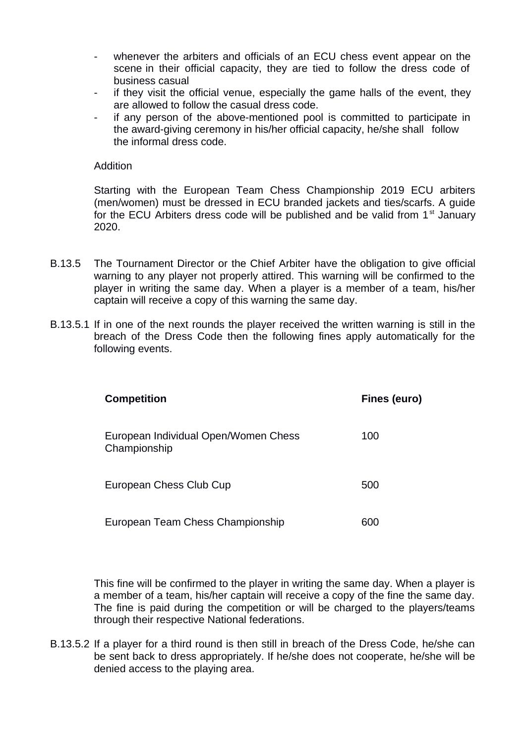- whenever the arbiters and officials of an ECU chess event appear on the scene in their official capacity, they are tied to follow the dress code of business casual
- if they visit the official venue, especially the game halls of the event, they are allowed to follow the casual dress code.
- if any person of the above-mentioned pool is committed to participate in the award-giving ceremony in his/her official capacity, he/she shall follow the informal dress code.

#### Addition

Starting with the European Team Chess Championship 2019 ECU arbiters (men/women) must be dressed in ECU branded jackets and ties/scarfs. A guide for the ECU Arbiters dress code will be published and be valid from  $1<sup>st</sup>$  January 2020.

- B.13.5 The Tournament Director or the Chief Arbiter have the obligation to give official warning to any player not properly attired. This warning will be confirmed to the player in writing the same day. When a player is a member of a team, his/her captain will receive a copy of this warning the same day.
- B.13.5.1 If in one of the next rounds the player received the written warning is still in the breach of the Dress Code then the following fines apply automatically for the following events.

| <b>Competition</b>                                   | Fines (euro) |
|------------------------------------------------------|--------------|
| European Individual Open/Women Chess<br>Championship | 100          |
| European Chess Club Cup                              | 500          |
| European Team Chess Championship                     | 600          |

This fine will be confirmed to the player in writing the same day. When a player is a member of a team, his/her captain will receive a copy of the fine the same day. The fine is paid during the competition or will be charged to the players/teams through their respective National federations.

B.13.5.2 If a player for a third round is then still in breach of the Dress Code, he/she can be sent back to dress appropriately. If he/she does not cooperate, he/she will be denied access to the playing area.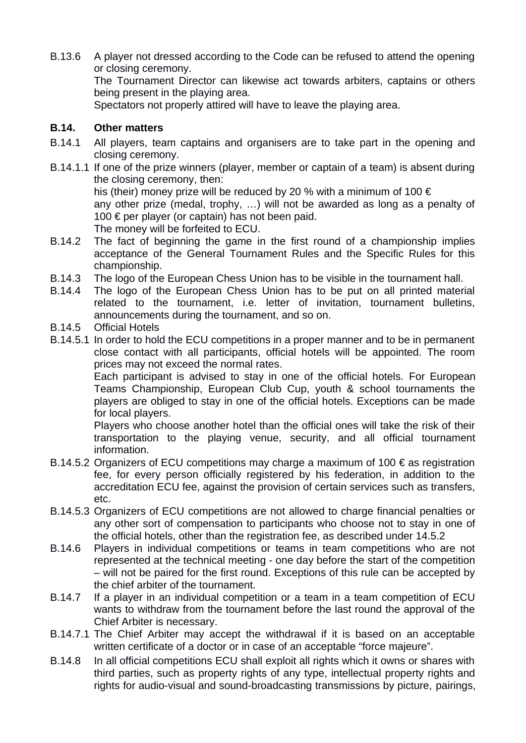B.13.6 A player not dressed according to the Code can be refused to attend the opening or closing ceremony. The Tournament Director can likewise act towards arbiters, captains or others being present in the playing area.

Spectators not properly attired will have to leave the playing area.

# **B.14. Other matters**

- B.14.1 All players, team captains and organisers are to take part in the opening and closing ceremony.
- B.14.1.1 If one of the prize winners (player, member or captain of a team) is absent during the closing ceremony, then: his (their) money prize will be reduced by 20 % with a minimum of 100  $\epsilon$

any other prize (medal, trophy, …) will not be awarded as long as a penalty of 100 € per player (or captain) has not been paid.

The money will be forfeited to ECU.

- B.14.2 The fact of beginning the game in the first round of a championship implies acceptance of the General Tournament Rules and the Specific Rules for this championship.
- B.14.3 The logo of the European Chess Union has to be visible in the tournament hall.
- B.14.4 The logo of the European Chess Union has to be put on all printed material related to the tournament, i.e. letter of invitation, tournament bulletins, announcements during the tournament, and so on.
- B.14.5 Official Hotels
- B.14.5.1 In order to hold the ECU competitions in a proper manner and to be in permanent close contact with all participants, official hotels will be appointed. The room prices may not exceed the normal rates.

Each participant is advised to stay in one of the official hotels. For European Teams Championship, European Club Cup, youth & school tournaments the players are obliged to stay in one of the official hotels. Exceptions can be made for local players.

Players who choose another hotel than the official ones will take the risk of their transportation to the playing venue, security, and all official tournament information.

- B.14.5.2 Organizers of ECU competitions may charge a maximum of 100  $\epsilon$  as registration fee, for every person officially registered by his federation, in addition to the accreditation ECU fee, against the provision of certain services such as transfers, etc.
- B.14.5.3 Organizers of ECU competitions are not allowed to charge financial penalties or any other sort of compensation to participants who choose not to stay in one of the official hotels, other than the registration fee, as described under 14.5.2
- B.14.6 Players in individual competitions or teams in team competitions who are not represented at the technical meeting - one day before the start of the competition – will not be paired for the first round. Exceptions of this rule can be accepted by the chief arbiter of the tournament.
- B.14.7 If a player in an individual competition or a team in a team competition of ECU wants to withdraw from the tournament before the last round the approval of the Chief Arbiter is necessary.
- B.14.7.1 The Chief Arbiter may accept the withdrawal if it is based on an acceptable written certificate of a doctor or in case of an acceptable "force majeure".
- B.14.8 In all official competitions ECU shall exploit all rights which it owns or shares with third parties, such as property rights of any type, intellectual property rights and rights for audio-visual and sound-broadcasting transmissions by picture, pairings,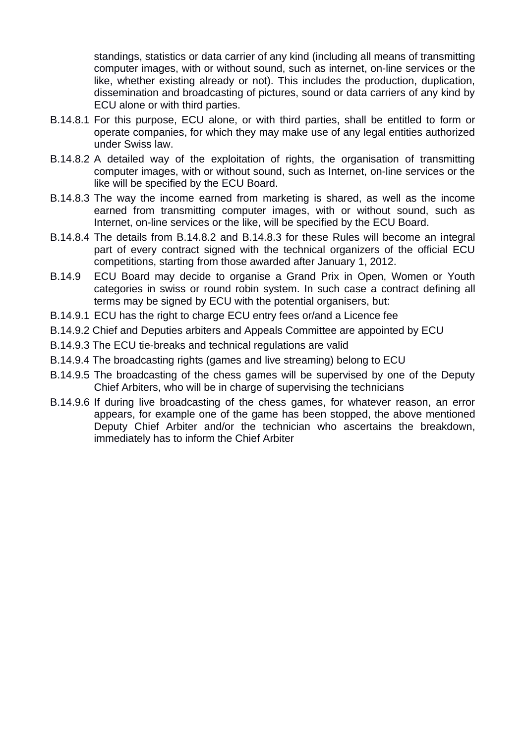standings, statistics or data carrier of any kind (including all means of transmitting computer images, with or without sound, such as internet, on-line services or the like, whether existing already or not). This includes the production, duplication, dissemination and broadcasting of pictures, sound or data carriers of any kind by ECU alone or with third parties.

- B.14.8.1 For this purpose, ECU alone, or with third parties, shall be entitled to form or operate companies, for which they may make use of any legal entities authorized under Swiss law.
- B.14.8.2 A detailed way of the exploitation of rights, the organisation of transmitting computer images, with or without sound, such as Internet, on-line services or the like will be specified by the ECU Board.
- B.14.8.3 The way the income earned from marketing is shared, as well as the income earned from transmitting computer images, with or without sound, such as Internet, on-line services or the like, will be specified by the ECU Board.
- B.14.8.4 The details from B.14.8.2 and B.14.8.3 for these Rules will become an integral part of every contract signed with the technical organizers of the official ECU competitions, starting from those awarded after January 1, 2012.
- B.14.9 ECU Board may decide to organise a Grand Prix in Open, Women or Youth categories in swiss or round robin system. In such case a contract defining all terms may be signed by ECU with the potential organisers, but:
- B.14.9.1 ECU has the right to charge ECU entry fees or/and a Licence fee
- B.14.9.2 Chief and Deputies arbiters and Appeals Committee are appointed by ECU
- B.14.9.3 The ECU tie-breaks and technical regulations are valid
- B.14.9.4 The broadcasting rights (games and live streaming) belong to ECU
- B.14.9.5 The broadcasting of the chess games will be supervised by one of the Deputy Chief Arbiters, who will be in charge of supervising the technicians
- B.14.9.6 If during live broadcasting of the chess games, for whatever reason, an error appears, for example one of the game has been stopped, the above mentioned Deputy Chief Arbiter and/or the technician who ascertains the breakdown, immediately has to inform the Chief Arbiter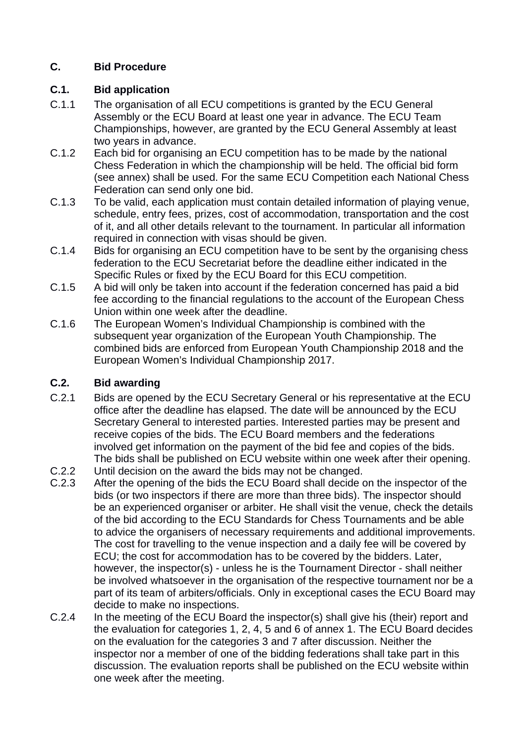# **C. Bid Procedure**

# **C.1. Bid application**

- C.1.1 The organisation of all ECU competitions is granted by the ECU General Assembly or the ECU Board at least one year in advance. The ECU Team Championships, however, are granted by the ECU General Assembly at least two years in advance.
- C.1.2 Each bid for organising an ECU competition has to be made by the national Chess Federation in which the championship will be held. The official bid form (see annex) shall be used. For the same ECU Competition each National Chess Federation can send only one bid.
- C.1.3 To be valid, each application must contain detailed information of playing venue, schedule, entry fees, prizes, cost of accommodation, transportation and the cost of it, and all other details relevant to the tournament. In particular all information required in connection with visas should be given.
- C.1.4 Bids for organising an ECU competition have to be sent by the organising chess federation to the ECU Secretariat before the deadline either indicated in the Specific Rules or fixed by the ECU Board for this ECU competition.
- C.1.5 A bid will only be taken into account if the federation concerned has paid a bid fee according to the financial regulations to the account of the European Chess Union within one week after the deadline.
- C.1.6 The European Women's Individual Championship is combined with the subsequent year organization of the European Youth Championship. The combined bids are enforced from European Youth Championship 2018 and the European Women's Individual Championship 2017.

# **C.2. Bid awarding**

- C.2.1 Bids are opened by the ECU Secretary General or his representative at the ECU office after the deadline has elapsed. The date will be announced by the ECU Secretary General to interested parties. Interested parties may be present and receive copies of the bids. The ECU Board members and the federations involved get information on the payment of the bid fee and copies of the bids. The bids shall be published on ECU website within one week after their opening.
- C.2.2 Until decision on the award the bids may not be changed.
- C.2.3 After the opening of the bids the ECU Board shall decide on the inspector of the bids (or two inspectors if there are more than three bids). The inspector should be an experienced organiser or arbiter. He shall visit the venue, check the details of the bid according to the ECU Standards for Chess Tournaments and be able to advice the organisers of necessary requirements and additional improvements. The cost for travelling to the venue inspection and a daily fee will be covered by ECU; the cost for accommodation has to be covered by the bidders. Later, however, the inspector(s) - unless he is the Tournament Director - shall neither be involved whatsoever in the organisation of the respective tournament nor be a part of its team of arbiters/officials. Only in exceptional cases the ECU Board may decide to make no inspections.
- C.2.4 In the meeting of the ECU Board the inspector(s) shall give his (their) report and the evaluation for categories 1, 2, 4, 5 and 6 of annex 1. The ECU Board decides on the evaluation for the categories 3 and 7 after discussion. Neither the inspector nor a member of one of the bidding federations shall take part in this discussion. The evaluation reports shall be published on the ECU website within one week after the meeting.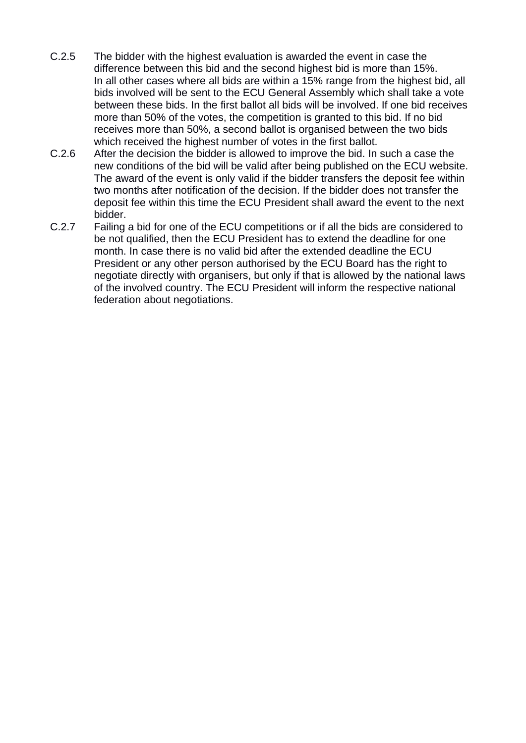- C.2.5 The bidder with the highest evaluation is awarded the event in case the difference between this bid and the second highest bid is more than 15%. In all other cases where all bids are within a 15% range from the highest bid, all bids involved will be sent to the ECU General Assembly which shall take a vote between these bids. In the first ballot all bids will be involved. If one bid receives more than 50% of the votes, the competition is granted to this bid. If no bid receives more than 50%, a second ballot is organised between the two bids which received the highest number of votes in the first ballot.
- C.2.6 After the decision the bidder is allowed to improve the bid. In such a case the new conditions of the bid will be valid after being published on the ECU website. The award of the event is only valid if the bidder transfers the deposit fee within two months after notification of the decision. If the bidder does not transfer the deposit fee within this time the ECU President shall award the event to the next bidder.
- C.2.7 Failing a bid for one of the ECU competitions or if all the bids are considered to be not qualified, then the ECU President has to extend the deadline for one month. In case there is no valid bid after the extended deadline the ECU President or any other person authorised by the ECU Board has the right to negotiate directly with organisers, but only if that is allowed by the national laws of the involved country. The ECU President will inform the respective national federation about negotiations.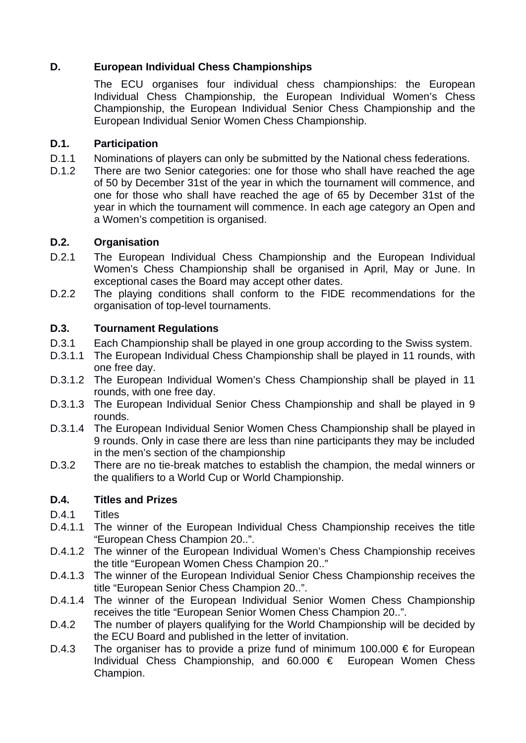# **D. European Individual Chess Championships**

The ECU organises four individual chess championships: the European Individual Chess Championship, the European Individual Women's Chess Championship, the European Individual Senior Chess Championship and the European Individual Senior Women Chess Championship.

# **D.1. Participation**

- D.1.1 Nominations of players can only be submitted by the National chess federations.
- D.1.2 There are two Senior categories: one for those who shall have reached the age of 50 by December 31st of the year in which the tournament will commence, and one for those who shall have reached the age of 65 by December 31st of the year in which the tournament will commence. In each age category an Open and a Women's competition is organised.

# **D.2. Organisation**

- D.2.1 The European Individual Chess Championship and the European Individual Women's Chess Championship shall be organised in April, May or June. In exceptional cases the Board may accept other dates.
- D.2.2 The playing conditions shall conform to the FIDE recommendations for the organisation of top-level tournaments.

# **D.3. Tournament Regulations**

- D.3.1 Each Championship shall be played in one group according to the Swiss system.
- D.3.1.1 The European Individual Chess Championship shall be played in 11 rounds, with one free day.
- D.3.1.2 The European Individual Women's Chess Championship shall be played in 11 rounds, with one free day.
- D.3.1.3 The European Individual Senior Chess Championship and shall be played in 9 rounds.
- D.3.1.4 The European Individual Senior Women Chess Championship shall be played in 9 rounds. Only in case there are less than nine participants they may be included in the men's section of the championship
- D.3.2 There are no tie-break matches to establish the champion, the medal winners or the qualifiers to a World Cup or World Championship.

# **D.4. Titles and Prizes**

- D.4.1 Titles
- D.4.1.1 The winner of the European Individual Chess Championship receives the title "European Chess Champion 20..".
- D.4.1.2 The winner of the European Individual Women's Chess Championship receives the title "European Women Chess Champion 20.."
- D.4.1.3 The winner of the European Individual Senior Chess Championship receives the title "European Senior Chess Champion 20..".
- D.4.1.4 The winner of the European Individual Senior Women Chess Championship receives the title "European Senior Women Chess Champion 20..".
- D.4.2 The number of players qualifying for the World Championship will be decided by the ECU Board and published in the letter of invitation.
- D.4.3 The organiser has to provide a prize fund of minimum 100.000 € for European Individual Chess Championship, and 60.000 € European Women Chess Champion.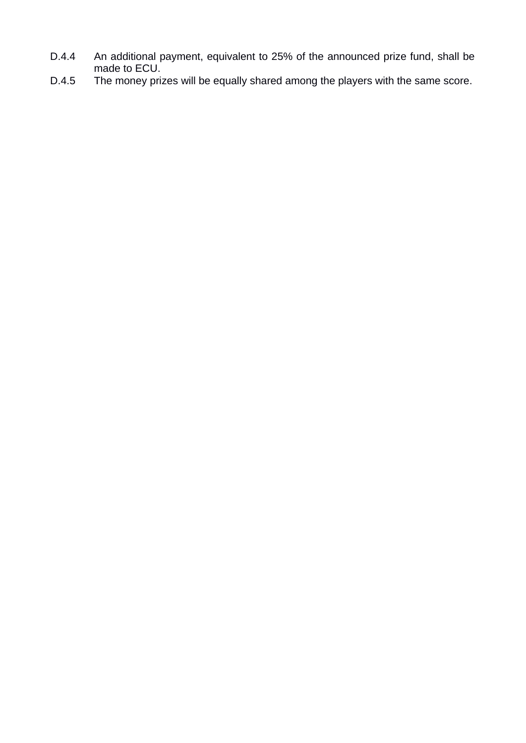- D.4.4 An additional payment, equivalent to 25% of the announced prize fund, shall be made to ECU.
- D.4.5 The money prizes will be equally shared among the players with the same score.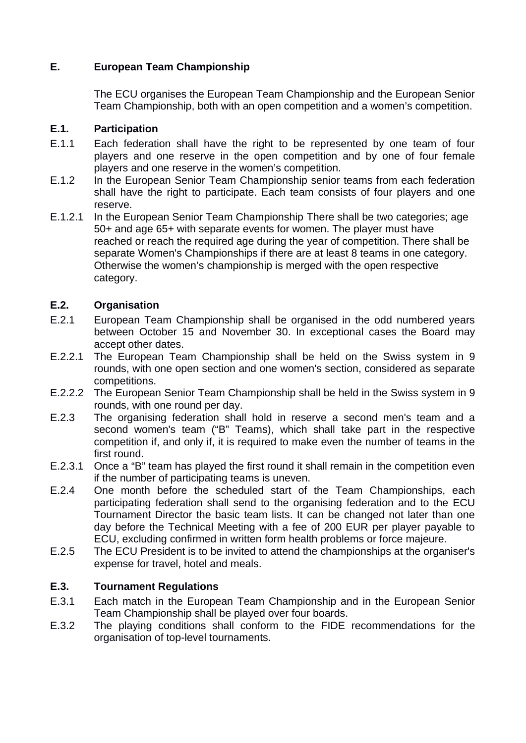# **E. European Team Championship**

The ECU organises the European Team Championship and the European Senior Team Championship, both with an open competition and a women's competition.

# **E.1. Participation**

- E.1.1 Each federation shall have the right to be represented by one team of four players and one reserve in the open competition and by one of four female players and one reserve in the women's competition.
- E.1.2 In the European Senior Team Championship senior teams from each federation shall have the right to participate. Each team consists of four players and one reserve.
- E.1.2.1 In the European Senior Team Championship There shall be two categories; age 50+ and age 65+ with separate events for women. The player must have reached or reach the required age during the year of competition. There shall be separate Women's Championships if there are at least 8 teams in one category. Otherwise the women's championship is merged with the open respective category.

### **E.2. Organisation**

- E.2.1 European Team Championship shall be organised in the odd numbered years between October 15 and November 30. In exceptional cases the Board may accept other dates.
- E.2.2.1 The European Team Championship shall be held on the Swiss system in 9 rounds, with one open section and one women's section, considered as separate competitions.
- E.2.2.2 The European Senior Team Championship shall be held in the Swiss system in 9 rounds, with one round per day.
- E.2.3 The organising federation shall hold in reserve a second men's team and a second women's team ("B" Teams), which shall take part in the respective competition if, and only if, it is required to make even the number of teams in the first round.
- E.2.3.1 Once a "B" team has played the first round it shall remain in the competition even if the number of participating teams is uneven.
- E.2.4 One month before the scheduled start of the Team Championships, each participating federation shall send to the organising federation and to the ECU Tournament Director the basic team lists. It can be changed not later than one day before the Technical Meeting with a fee of 200 EUR per player payable to ECU, excluding confirmed in written form health problems or force majeure.
- E.2.5 The ECU President is to be invited to attend the championships at the organiser's expense for travel, hotel and meals.

# **E.3. Tournament Regulations**

- E.3.1 Each match in the European Team Championship and in the European Senior Team Championship shall be played over four boards.
- E.3.2 The playing conditions shall conform to the FIDE recommendations for the organisation of top-level tournaments.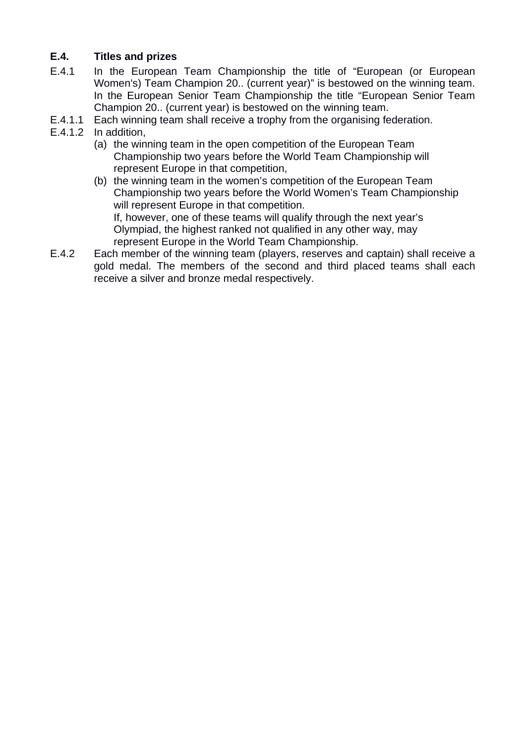# **E.4. Titles and prizes**

- E.4.1 In the European Team Championship the title of "European (or European Women's) Team Champion 20.. (current year)" is bestowed on the winning team. In the European Senior Team Championship the title "European Senior Team Champion 20.. (current year) is bestowed on the winning team.
- E.4.1.1 Each winning team shall receive a trophy from the organising federation.
- E.4.1.2 In addition,
	- (a) the winning team in the open competition of the European Team Championship two years before the World Team Championship will represent Europe in that competition,
	- (b) the winning team in the women's competition of the European Team Championship two years before the World Women's Team Championship will represent Europe in that competition. If, however, one of these teams will qualify through the next year's Olympiad, the highest ranked not qualified in any other way, may represent Europe in the World Team Championship.
- E.4.2 Each member of the winning team (players, reserves and captain) shall receive a gold medal. The members of the second and third placed teams shall each receive a silver and bronze medal respectively.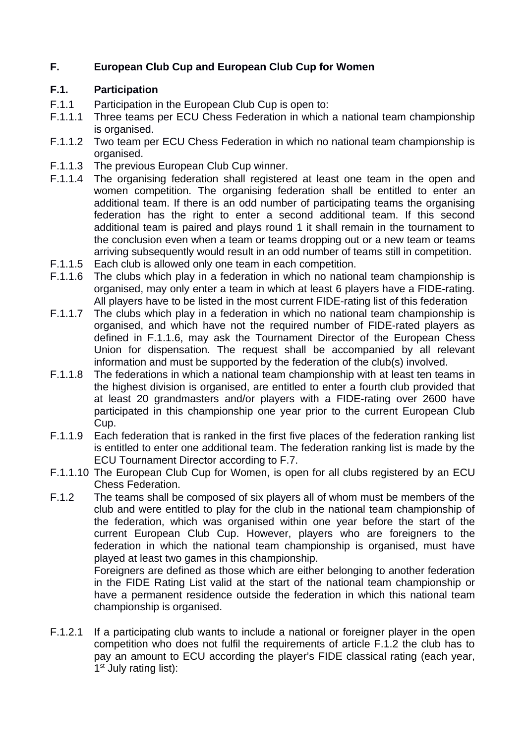# **F. European Club Cup and European Club Cup for Women**

#### **F.1. Participation**

- F.1.1 Participation in the European Club Cup is open to:
- F.1.1.1 Three teams per ECU Chess Federation in which a national team championship is organised.
- F.1.1.2 Two team per ECU Chess Federation in which no national team championship is organised.
- F.1.1.3 The previous European Club Cup winner.
- F.1.1.4 The organising federation shall registered at least one team in the open and women competition. The organising federation shall be entitled to enter an additional team. If there is an odd number of participating teams the organising federation has the right to enter a second additional team. If this second additional team is paired and plays round 1 it shall remain in the tournament to the conclusion even when a team or teams dropping out or a new team or teams arriving subsequently would result in an odd number of teams still in competition.
- F.1.1.5 Each club is allowed only one team in each competition.
- F.1.1.6 The clubs which play in a federation in which no national team championship is organised, may only enter a team in which at least 6 players have a FIDE-rating. All players have to be listed in the most current FIDE-rating list of this federation
- F.1.1.7 The clubs which play in a federation in which no national team championship is organised, and which have not the required number of FIDE-rated players as defined in F.1.1.6, may ask the Tournament Director of the European Chess Union for dispensation. The request shall be accompanied by all relevant information and must be supported by the federation of the club(s) involved.
- F.1.1.8 The federations in which a national team championship with at least ten teams in the highest division is organised, are entitled to enter a fourth club provided that at least 20 grandmasters and/or players with a FIDE-rating over 2600 have participated in this championship one year prior to the current European Club Cup.
- F.1.1.9 Each federation that is ranked in the first five places of the federation ranking list is entitled to enter one additional team. The federation ranking list is made by the ECU Tournament Director according to F.7.
- F.1.1.10 The European Club Cup for Women, is open for all clubs registered by an ECU Chess Federation.
- F.1.2 The teams shall be composed of six players all of whom must be members of the club and were entitled to play for the club in the national team championship of the federation, which was organised within one year before the start of the current European Club Cup. However, players who are foreigners to the federation in which the national team championship is organised, must have played at least two games in this championship.

Foreigners are defined as those which are either belonging to another federation in the FIDE Rating List valid at the start of the national team championship or have a permanent residence outside the federation in which this national team championship is organised.

F.1.2.1 If a participating club wants to include a national or foreigner player in the open competition who does not fulfil the requirements of article F.1.2 the club has to pay an amount to ECU according the player's FIDE classical rating (each year,  $1<sup>st</sup>$  July rating list):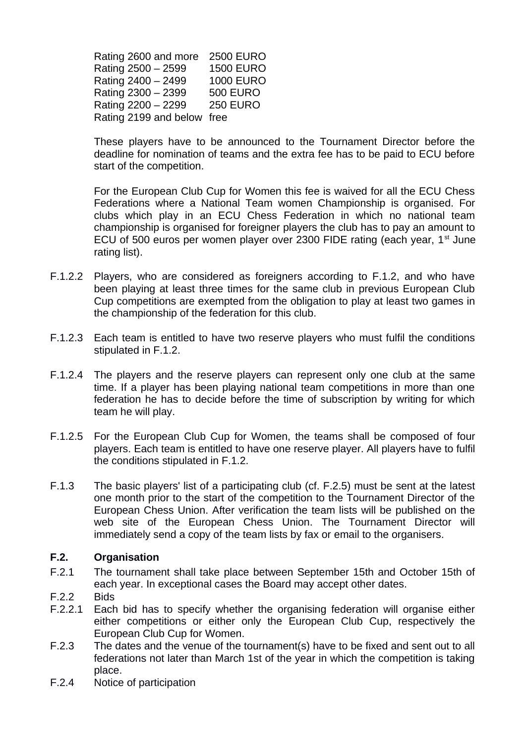Rating 2600 and more 2500 EURO Rating 2500 – 2599 1500 EURO Rating 2400 – 2499 1000 EURO Rating 2300 – 2399 500 EURO Rating 2200 – 2299 250 EURO Rating 2199 and below free

 These players have to be announced to the Tournament Director before the deadline for nomination of teams and the extra fee has to be paid to ECU before start of the competition.

For the European Club Cup for Women this fee is waived for all the ECU Chess Federations where a National Team women Championship is organised. For clubs which play in an ECU Chess Federation in which no national team championship is organised for foreigner players the club has to pay an amount to ECU of 500 euros per women player over 2300 FIDE rating (each year,  $1<sup>st</sup>$  June rating list).

- F.1.2.2 Players, who are considered as foreigners according to F.1.2, and who have been playing at least three times for the same club in previous European Club Cup competitions are exempted from the obligation to play at least two games in the championship of the federation for this club.
- F.1.2.3 Each team is entitled to have two reserve players who must fulfil the conditions stipulated in F.1.2.
- F.1.2.4 The players and the reserve players can represent only one club at the same time. If a player has been playing national team competitions in more than one federation he has to decide before the time of subscription by writing for which team he will play.
- F.1.2.5 For the European Club Cup for Women, the teams shall be composed of four players. Each team is entitled to have one reserve player. All players have to fulfil the conditions stipulated in F.1.2.
- F.1.3 The basic players' list of a participating club (cf. F.2.5) must be sent at the latest one month prior to the start of the competition to the Tournament Director of the European Chess Union. After verification the team lists will be published on the web site of the European Chess Union. The Tournament Director will immediately send a copy of the team lists by fax or email to the organisers.

#### **F.2. Organisation**

- F.2.1 The tournament shall take place between September 15th and October 15th of each year. In exceptional cases the Board may accept other dates.
- F.2.2 Bids
- F.2.2.1 Each bid has to specify whether the organising federation will organise either either competitions or either only the European Club Cup, respectively the European Club Cup for Women.
- F.2.3 The dates and the venue of the tournament(s) have to be fixed and sent out to all federations not later than March 1st of the year in which the competition is taking place.
- F.2.4 Notice of participation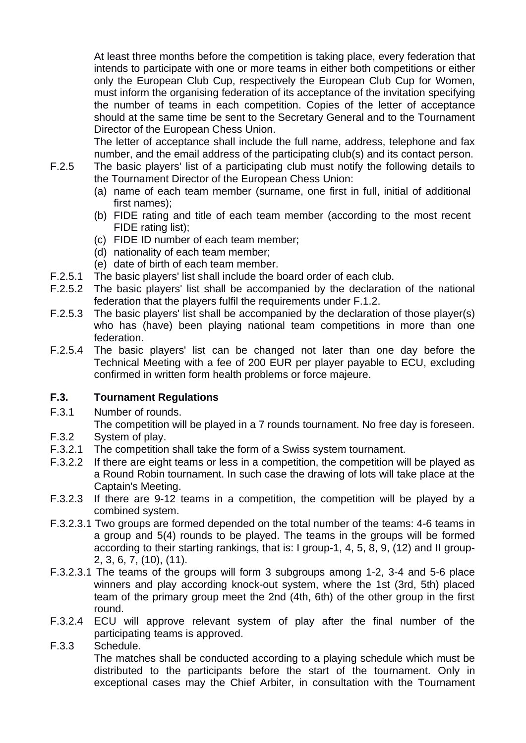At least three months before the competition is taking place, every federation that intends to participate with one or more teams in either both competitions or either only the European Club Cup, respectively the European Club Cup for Women, must inform the organising federation of its acceptance of the invitation specifying the number of teams in each competition. Copies of the letter of acceptance should at the same time be sent to the Secretary General and to the Tournament Director of the European Chess Union.

The letter of acceptance shall include the full name, address, telephone and fax number, and the email address of the participating club(s) and its contact person.

- F.2.5 The basic players' list of a participating club must notify the following details to the Tournament Director of the European Chess Union:
	- (a) name of each team member (surname, one first in full, initial of additional first names);
	- (b) FIDE rating and title of each team member (according to the most recent FIDE rating list);
	- (c) FIDE ID number of each team member;
	- (d) nationality of each team member;
	- (e) date of birth of each team member.
- F.2.5.1 The basic players' list shall include the board order of each club.
- F.2.5.2 The basic players' list shall be accompanied by the declaration of the national federation that the players fulfil the requirements under F.1.2.
- F.2.5.3 The basic players' list shall be accompanied by the declaration of those player(s) who has (have) been playing national team competitions in more than one federation.
- F.2.5.4 The basic players' list can be changed not later than one day before the Technical Meeting with a fee of 200 EUR per player payable to ECU, excluding confirmed in written form health problems or force majeure.

# **F.3. Tournament Regulations**

F.3.1 Number of rounds.

The competition will be played in a 7 rounds tournament. No free day is foreseen.

- F.3.2 System of play.
- F.3.2.1 The competition shall take the form of a Swiss system tournament.
- F.3.2.2 If there are eight teams or less in a competition, the competition will be played as a Round Robin tournament. In such case the drawing of lots will take place at the Captain's Meeting.
- F.3.2.3 If there are 9-12 teams in a competition, the competition will be played by a combined system.
- F.3.2.3.1 Two groups are formed depended on the total number of the teams: 4-6 teams in a group and 5(4) rounds to be played. The teams in the groups will be formed according to their starting rankings, that is: I group-1, 4, 5, 8, 9, (12) and II group-2, 3, 6, 7, (10), (11).
- F.3.2.3.1 The teams of the groups will form 3 subgroups among 1-2, 3-4 and 5-6 place winners and play according knock-out system, where the 1st (3rd, 5th) placed team of the primary group meet the 2nd (4th, 6th) of the other group in the first round.
- F.3.2.4 ECU will approve relevant system of play after the final number of the participating teams is approved.
- F.3.3 Schedule. The matches shall be conducted according to a playing schedule which must be distributed to the participants before the start of the tournament. Only in exceptional cases may the Chief Arbiter, in consultation with the Tournament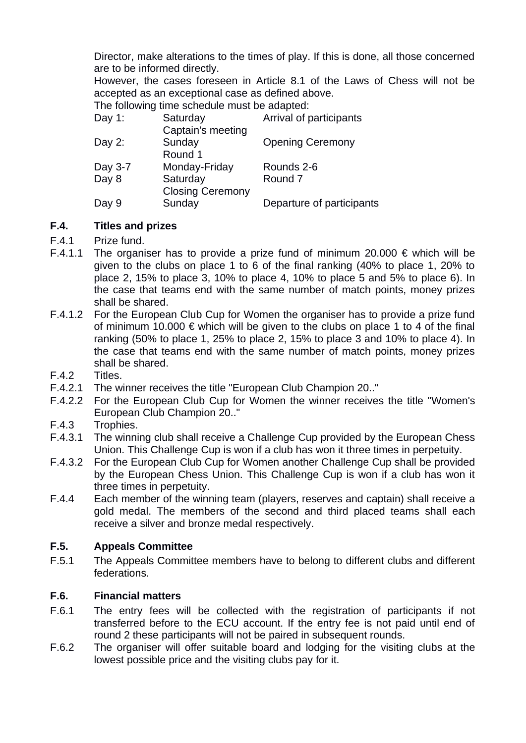Director, make alterations to the times of play. If this is done, all those concerned are to be informed directly.

However, the cases foreseen in Article 8.1 of the Laws of Chess will not be accepted as an exceptional case as defined above.

The following time schedule must be adapted:

| Day $1$ : | Saturday<br>Captain's meeting       | Arrival of participants   |
|-----------|-------------------------------------|---------------------------|
| Day $2$ : | Sunday<br>Round 1                   | <b>Opening Ceremony</b>   |
| Day 3-7   | Monday-Friday                       | Rounds 2-6                |
| Day 8     | Saturday<br><b>Closing Ceremony</b> | Round <sub>7</sub>        |
| Day 9     | Sunday                              | Departure of participants |

### **F.4. Titles and prizes**

- F.4.1 Prize fund.
- F.4.1.1 The organiser has to provide a prize fund of minimum 20.000 € which will be given to the clubs on place 1 to 6 of the final ranking (40% to place 1, 20% to place 2, 15% to place 3, 10% to place 4, 10% to place 5 and 5% to place 6). In the case that teams end with the same number of match points, money prizes shall be shared.
- F.4.1.2 For the European Club Cup for Women the organiser has to provide a prize fund of minimum 10.000  $\epsilon$  which will be given to the clubs on place 1 to 4 of the final ranking (50% to place 1, 25% to place 2, 15% to place 3 and 10% to place 4). In the case that teams end with the same number of match points, money prizes shall be shared.
- F.4.2 Titles.
- F.4.2.1 The winner receives the title "European Club Champion 20.."
- F.4.2.2 For the European Club Cup for Women the winner receives the title "Women's European Club Champion 20.."
- F.4.3 Trophies.
- F.4.3.1 The winning club shall receive a Challenge Cup provided by the European Chess Union. This Challenge Cup is won if a club has won it three times in perpetuity.
- F.4.3.2 For the European Club Cup for Women another Challenge Cup shall be provided by the European Chess Union. This Challenge Cup is won if a club has won it three times in perpetuity.
- F.4.4 Each member of the winning team (players, reserves and captain) shall receive a gold medal. The members of the second and third placed teams shall each receive a silver and bronze medal respectively.

#### **F.5. Appeals Committee**

F.5.1 The Appeals Committee members have to belong to different clubs and different federations.

# **F.6. Financial matters**

- F.6.1 The entry fees will be collected with the registration of participants if not transferred before to the ECU account. If the entry fee is not paid until end of round 2 these participants will not be paired in subsequent rounds.
- F.6.2 The organiser will offer suitable board and lodging for the visiting clubs at the lowest possible price and the visiting clubs pay for it.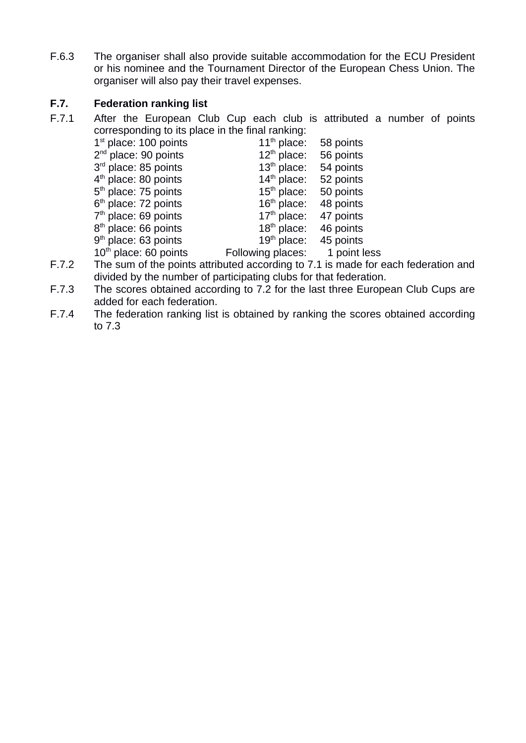F.6.3 The organiser shall also provide suitable accommodation for the ECU President or his nominee and the Tournament Director of the European Chess Union. The organiser will also pay their travel expenses.

# **F.7. Federation ranking list**

F.7.1 After the European Club Cup each club is attributed a number of points corresponding to its place in the final ranking:

| $1st$ place: 100 points | $11th$ place:     | 58 points    |
|-------------------------|-------------------|--------------|
| $2nd$ place: 90 points  | $12th$ place:     | 56 points    |
| $3rd$ place: 85 points  | $13th$ place:     | 54 points    |
| $4th$ place: 80 points  | $14th$ place:     | 52 points    |
| $5th$ place: 75 points  | $15th$ place:     | 50 points    |
| $6th$ place: 72 points  | $16th$ place:     | 48 points    |
| $7th$ place: 69 points  | $17th$ place:     | 47 points    |
| $8th$ place: 66 points  | $18th$ place:     | 46 points    |
| $9th$ place: 63 points  | $19th$ place:     | 45 points    |
| $10th$ place: 60 points | Following places: | 1 point less |

- F.7.2 The sum of the points attributed according to 7.1 is made for each federation and divided by the number of participating clubs for that federation.
- F.7.3 The scores obtained according to 7.2 for the last three European Club Cups are added for each federation.
- F.7.4 The federation ranking list is obtained by ranking the scores obtained according to 7.3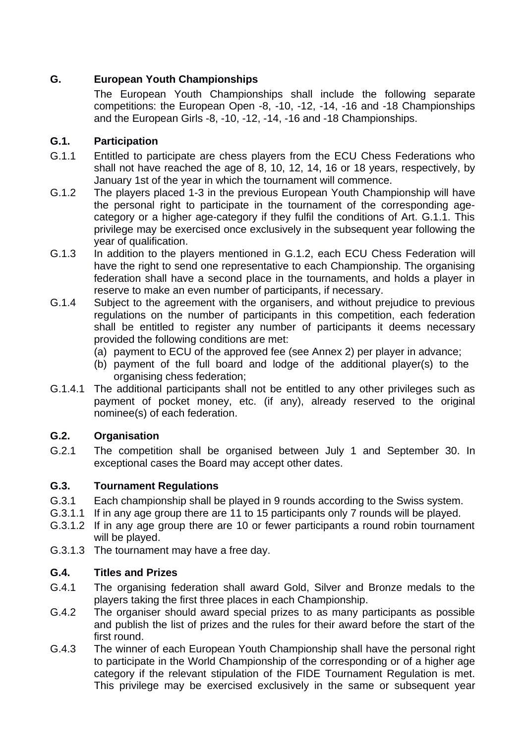# **G. European Youth Championships**

The European Youth Championships shall include the following separate competitions: the European Open -8, -10, -12, -14, -16 and -18 Championships and the European Girls -8, -10, -12, -14, -16 and -18 Championships.

# **G.1. Participation**

- G.1.1 Entitled to participate are chess players from the ECU Chess Federations who shall not have reached the age of 8, 10, 12, 14, 16 or 18 years, respectively, by January 1st of the year in which the tournament will commence.
- G.1.2 The players placed 1-3 in the previous European Youth Championship will have the personal right to participate in the tournament of the corresponding agecategory or a higher age-category if they fulfil the conditions of Art. G.1.1. This privilege may be exercised once exclusively in the subsequent year following the year of qualification.
- G.1.3 In addition to the players mentioned in G.1.2, each ECU Chess Federation will have the right to send one representative to each Championship. The organising federation shall have a second place in the tournaments, and holds a player in reserve to make an even number of participants, if necessary.
- G.1.4 Subject to the agreement with the organisers, and without prejudice to previous regulations on the number of participants in this competition, each federation shall be entitled to register any number of participants it deems necessary provided the following conditions are met:
	- (a) payment to ECU of the approved fee (see Annex 2) per player in advance;
	- (b) payment of the full board and lodge of the additional player(s) to the organising chess federation;
- G.1.4.1 The additional participants shall not be entitled to any other privileges such as payment of pocket money, etc. (if any), already reserved to the original nominee(s) of each federation.

# **G.2. Organisation**

G.2.1 The competition shall be organised between July 1 and September 30. In exceptional cases the Board may accept other dates.

# **G.3. Tournament Regulations**

- G.3.1 Each championship shall be played in 9 rounds according to the Swiss system.
- G.3.1.1 If in any age group there are 11 to 15 participants only 7 rounds will be played.
- G.3.1.2 If in any age group there are 10 or fewer participants a round robin tournament will be played.
- G.3.1.3 The tournament may have a free day.

# **G.4. Titles and Prizes**

- G.4.1 The organising federation shall award Gold, Silver and Bronze medals to the players taking the first three places in each Championship.
- G.4.2 The organiser should award special prizes to as many participants as possible and publish the list of prizes and the rules for their award before the start of the first round.
- G.4.3 The winner of each European Youth Championship shall have the personal right to participate in the World Championship of the corresponding or of a higher age category if the relevant stipulation of the FIDE Tournament Regulation is met. This privilege may be exercised exclusively in the same or subsequent year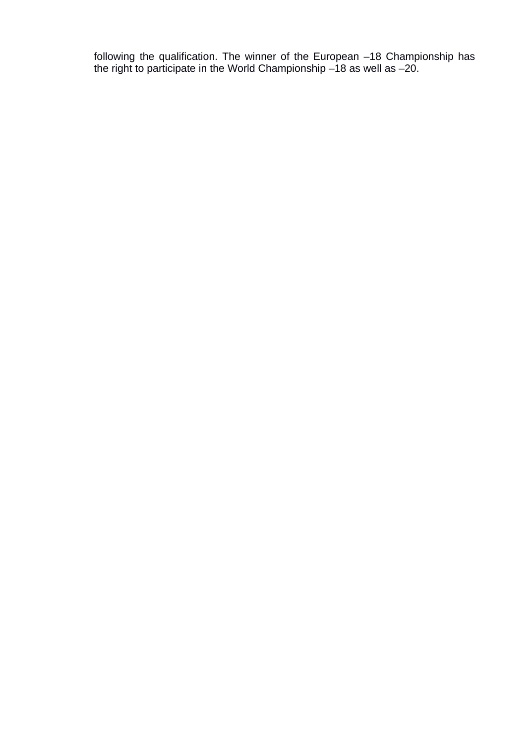following the qualification. The winner of the European –18 Championship has the right to participate in the World Championship –18 as well as –20.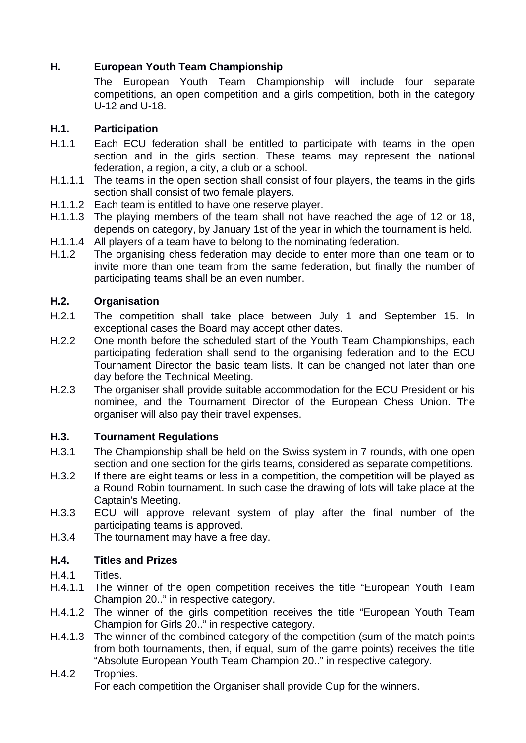# **H. European Youth Team Championship**

The European Youth Team Championship will include four separate competitions, an open competition and a girls competition, both in the category U-12 and U-18.

# **H.1. Participation**

- H.1.1 Each ECU federation shall be entitled to participate with teams in the open section and in the girls section. These teams may represent the national federation, a region, a city, a club or a school.
- H.1.1.1 The teams in the open section shall consist of four players, the teams in the girls section shall consist of two female players.
- H.1.1.2 Each team is entitled to have one reserve player.
- H.1.1.3 The playing members of the team shall not have reached the age of 12 or 18, depends on category, by January 1st of the year in which the tournament is held.
- H.1.1.4 All players of a team have to belong to the nominating federation.
- H.1.2 The organising chess federation may decide to enter more than one team or to invite more than one team from the same federation, but finally the number of participating teams shall be an even number.

# **H.2. Organisation**

- H.2.1 The competition shall take place between July 1 and September 15. In exceptional cases the Board may accept other dates.
- H.2.2 One month before the scheduled start of the Youth Team Championships, each participating federation shall send to the organising federation and to the ECU Tournament Director the basic team lists. It can be changed not later than one day before the Technical Meeting.
- H.2.3 The organiser shall provide suitable accommodation for the ECU President or his nominee, and the Tournament Director of the European Chess Union. The organiser will also pay their travel expenses.

# **H.3. Tournament Regulations**

- H.3.1 The Championship shall be held on the Swiss system in 7 rounds, with one open section and one section for the girls teams, considered as separate competitions.
- H.3.2 If there are eight teams or less in a competition, the competition will be played as a Round Robin tournament. In such case the drawing of lots will take place at the Captain's Meeting.
- H.3.3 ECU will approve relevant system of play after the final number of the participating teams is approved.
- H.3.4 The tournament may have a free day.

# **H.4. Titles and Prizes**

- H.4.1 Titles.
- H.4.1.1 The winner of the open competition receives the title "European Youth Team Champion 20.." in respective category.
- H.4.1.2 The winner of the girls competition receives the title "European Youth Team Champion for Girls 20.." in respective category.
- H.4.1.3 The winner of the combined category of the competition (sum of the match points from both tournaments, then, if equal, sum of the game points) receives the title "Absolute European Youth Team Champion 20.." in respective category.
- H.4.2 Trophies. For each competition the Organiser shall provide Cup for the winners.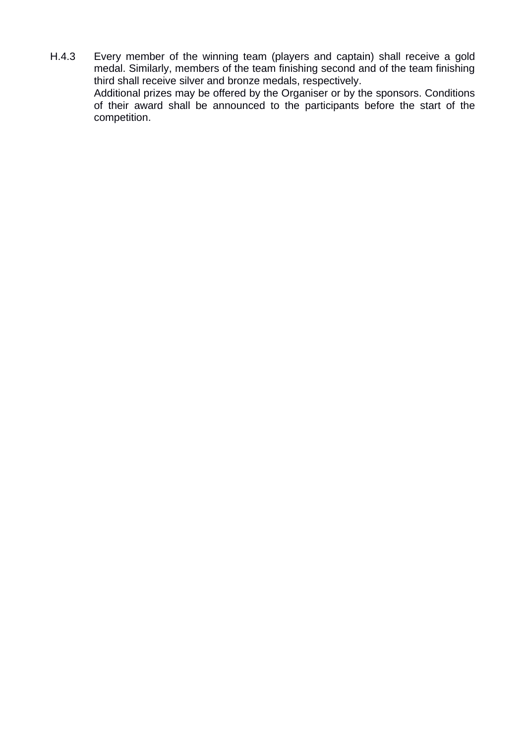H.4.3 Every member of the winning team (players and captain) shall receive a gold medal. Similarly, members of the team finishing second and of the team finishing third shall receive silver and bronze medals, respectively. Additional prizes may be offered by the Organiser or by the sponsors. Conditions of their award shall be announced to the participants before the start of the competition.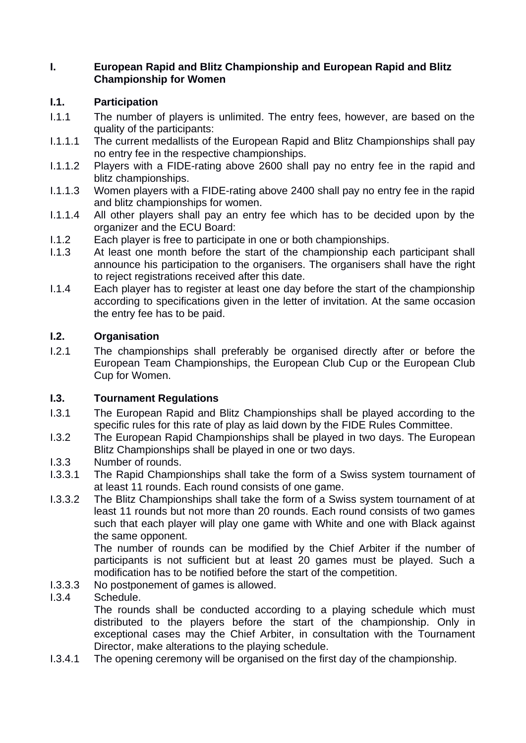### **I. European Rapid and Blitz Championship and European Rapid and Blitz Championship for Women**

# **I.1. Participation**

- I.1.1 The number of players is unlimited. The entry fees, however, are based on the quality of the participants:
- I.1.1.1 The current medallists of the European Rapid and Blitz Championships shall pay no entry fee in the respective championships.
- I.1.1.2 Players with a FIDE-rating above 2600 shall pay no entry fee in the rapid and blitz championships.
- I.1.1.3 Women players with a FIDE-rating above 2400 shall pay no entry fee in the rapid and blitz championships for women.
- I.1.1.4 All other players shall pay an entry fee which has to be decided upon by the organizer and the ECU Board:
- I.1.2 Each player is free to participate in one or both championships.
- I.1.3 At least one month before the start of the championship each participant shall announce his participation to the organisers. The organisers shall have the right to reject registrations received after this date.
- I.1.4 Each player has to register at least one day before the start of the championship according to specifications given in the letter of invitation. At the same occasion the entry fee has to be paid.

# **I.2. Organisation**

I.2.1 The championships shall preferably be organised directly after or before the European Team Championships, the European Club Cup or the European Club Cup for Women.

# **I.3. Tournament Regulations**

- I.3.1 The European Rapid and Blitz Championships shall be played according to the specific rules for this rate of play as laid down by the FIDE Rules Committee.
- I.3.2 The European Rapid Championships shall be played in two days. The European Blitz Championships shall be played in one or two days.
- I.3.3 Number of rounds.
- I.3.3.1 The Rapid Championships shall take the form of a Swiss system tournament of at least 11 rounds. Each round consists of one game.
- I.3.3.2 The Blitz Championships shall take the form of a Swiss system tournament of at least 11 rounds but not more than 20 rounds. Each round consists of two games such that each player will play one game with White and one with Black against the same opponent.

The number of rounds can be modified by the Chief Arbiter if the number of participants is not sufficient but at least 20 games must be played. Such a modification has to be notified before the start of the competition.

I.3.3.3 No postponement of games is allowed.

# I.3.4 Schedule.

The rounds shall be conducted according to a playing schedule which must distributed to the players before the start of the championship. Only in exceptional cases may the Chief Arbiter, in consultation with the Tournament Director, make alterations to the playing schedule.

I.3.4.1 The opening ceremony will be organised on the first day of the championship.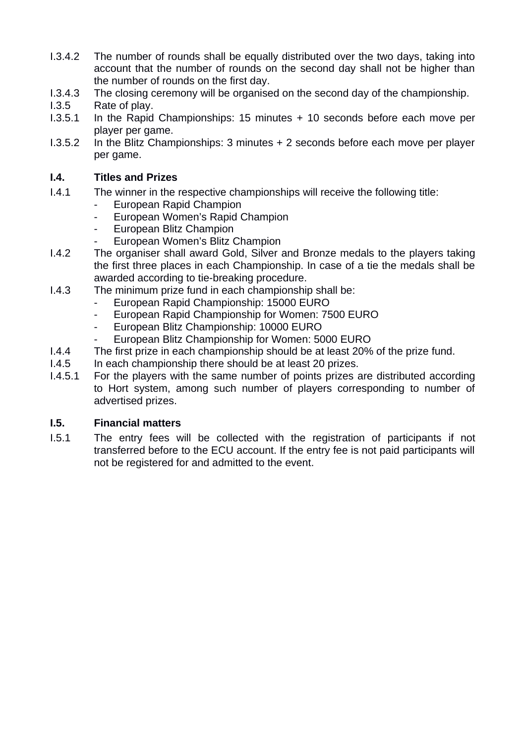- I.3.4.2 The number of rounds shall be equally distributed over the two days, taking into account that the number of rounds on the second day shall not be higher than the number of rounds on the first day.
- I.3.4.3 The closing ceremony will be organised on the second day of the championship.
- I.3.5 Rate of play.
- I.3.5.1 In the Rapid Championships: 15 minutes + 10 seconds before each move per player per game.
- I.3.5.2 In the Blitz Championships: 3 minutes + 2 seconds before each move per player per game.

# **I.4. Titles and Prizes**

- I.4.1 The winner in the respective championships will receive the following title:
	- European Rapid Champion
	- European Women's Rapid Champion
	- European Blitz Champion
	- European Women's Blitz Champion
- I.4.2 The organiser shall award Gold, Silver and Bronze medals to the players taking the first three places in each Championship. In case of a tie the medals shall be awarded according to tie-breaking procedure.
- I.4.3 The minimum prize fund in each championship shall be:
	- European Rapid Championship: 15000 EURO
		- European Rapid Championship for Women: 7500 EURO
		- European Blitz Championship: 10000 EURO
		- European Blitz Championship for Women: 5000 EURO
- I.4.4 The first prize in each championship should be at least 20% of the prize fund.
- I.4.5 In each championship there should be at least 20 prizes.
- I.4.5.1 For the players with the same number of points prizes are distributed according to Hort system, among such number of players corresponding to number of advertised prizes.

# **I.5. Financial matters**

I.5.1 The entry fees will be collected with the registration of participants if not transferred before to the ECU account. If the entry fee is not paid participants will not be registered for and admitted to the event.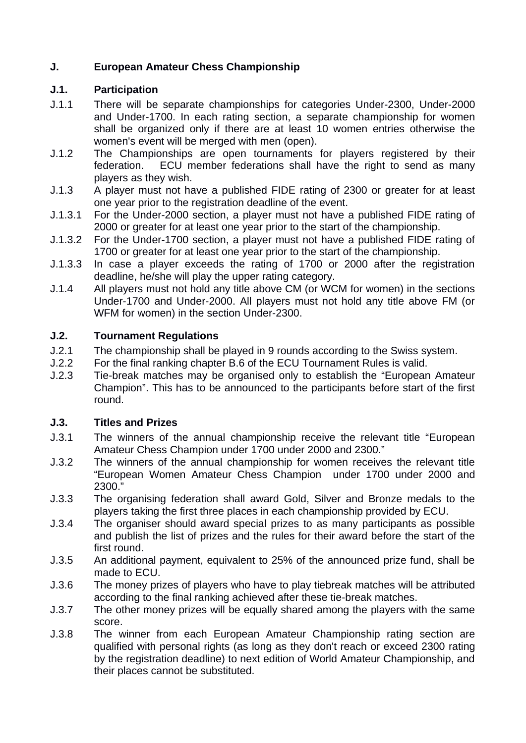# **J. European Amateur Chess Championship**

# **J.1. Participation**

- J.1.1 There will be separate championships for categories Under-2300, Under-2000 and Under-1700. In each rating section, a separate championship for women shall be organized only if there are at least 10 women entries otherwise the women's event will be merged with men (open).
- J.1.2 The Championships are open tournaments for players registered by their federation. ECU member federations shall have the right to send as many players as they wish.
- J.1.3 A player must not have a published FIDE rating of 2300 or greater for at least one year prior to the registration deadline of the event.
- J.1.3.1 For the Under-2000 section, a player must not have a published FIDE rating of 2000 or greater for at least one year prior to the start of the championship.
- J.1.3.2 For the Under-1700 section, a player must not have a published FIDE rating of 1700 or greater for at least one year prior to the start of the championship.
- J.1.3.3 In case a player exceeds the rating of 1700 or 2000 after the registration deadline, he/she will play the upper rating category.
- J.1.4 All players must not hold any title above CM (or WCM for women) in the sections Under-1700 and Under-2000. All players must not hold any title above FM (or WFM for women) in the section Under-2300.

# **J.2. Tournament Regulations**

- J.2.1 The championship shall be played in 9 rounds according to the Swiss system.
- J.2.2 For the final ranking chapter B.6 of the ECU Tournament Rules is valid.
- J.2.3 Tie-break matches may be organised only to establish the "European Amateur Champion". This has to be announced to the participants before start of the first round.

#### **J.3. Titles and Prizes**

- J.3.1 The winners of the annual championship receive the relevant title "European Amateur Chess Champion under 1700 under 2000 and 2300."
- J.3.2 The winners of the annual championship for women receives the relevant title "European Women Amateur Chess Champion under 1700 under 2000 and 2300."
- J.3.3 The organising federation shall award Gold, Silver and Bronze medals to the players taking the first three places in each championship provided by ECU.
- J.3.4 The organiser should award special prizes to as many participants as possible and publish the list of prizes and the rules for their award before the start of the first round.
- J.3.5 An additional payment, equivalent to 25% of the announced prize fund, shall be made to ECU.
- J.3.6 The money prizes of players who have to play tiebreak matches will be attributed according to the final ranking achieved after these tie-break matches.
- J.3.7 The other money prizes will be equally shared among the players with the same score.
- J.3.8 The winner from each European Amateur Championship rating section are qualified with personal rights (as long as they don't reach or exceed 2300 rating by the registration deadline) to next edition of World Amateur Championship, and their places cannot be substituted.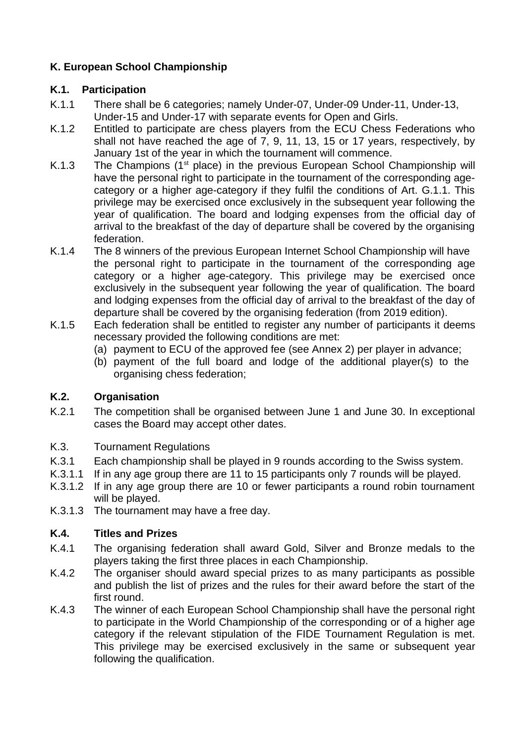# **K. European School Championship**

#### **K.1. Participation**

- K.1.1 There shall be 6 categories; namely Under-07, Under-09 Under-11, Under-13, Under-15 and Under-17 with separate events for Open and Girls.
- K.1.2 Entitled to participate are chess players from the ECU Chess Federations who shall not have reached the age of 7, 9, 11, 13, 15 or 17 years, respectively, by January 1st of the year in which the tournament will commence.
- K.1.3 The Champions  $(1<sup>st</sup>$  place) in the previous European School Championship will have the personal right to participate in the tournament of the corresponding agecategory or a higher age-category if they fulfil the conditions of Art. G.1.1. This privilege may be exercised once exclusively in the subsequent year following the year of qualification. The board and lodging expenses from the official day of arrival to the breakfast of the day of departure shall be covered by the organising federation.
- K.1.4 The 8 winners of the previous European Internet School Championship will have the personal right to participate in the tournament of the corresponding age category or a higher age-category. This privilege may be exercised once exclusively in the subsequent year following the year of qualification. The board and lodging expenses from the official day of arrival to the breakfast of the day of departure shall be covered by the organising federation (from 2019 edition).
- K.1.5 Each federation shall be entitled to register any number of participants it deems necessary provided the following conditions are met:
	- (a) payment to ECU of the approved fee (see Annex 2) per player in advance;
	- (b) payment of the full board and lodge of the additional player(s) to the organising chess federation;

# **K.2. Organisation**

- K.2.1 The competition shall be organised between June 1 and June 30. In exceptional cases the Board may accept other dates.
- K.3. Tournament Regulations
- K.3.1 Each championship shall be played in 9 rounds according to the Swiss system.
- K.3.1.1 If in any age group there are 11 to 15 participants only 7 rounds will be played.
- K.3.1.2 If in any age group there are 10 or fewer participants a round robin tournament will be played.
- K.3.1.3 The tournament may have a free day.

# **K.4. Titles and Prizes**

- K.4.1 The organising federation shall award Gold, Silver and Bronze medals to the players taking the first three places in each Championship.
- K.4.2 The organiser should award special prizes to as many participants as possible and publish the list of prizes and the rules for their award before the start of the first round.
- K.4.3 The winner of each European School Championship shall have the personal right to participate in the World Championship of the corresponding or of a higher age category if the relevant stipulation of the FIDE Tournament Regulation is met. This privilege may be exercised exclusively in the same or subsequent year following the qualification.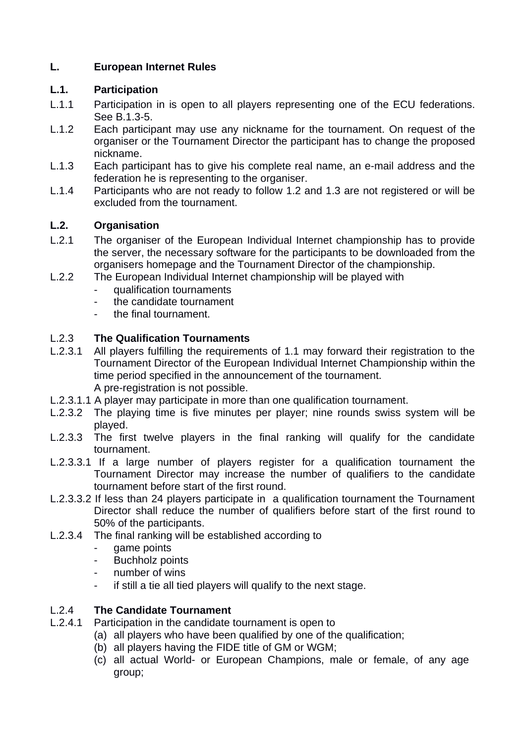## **L. European Internet Rules**

#### **L.1. Participation**

- L.1.1 Participation in is open to all players representing one of the ECU federations. See B.1.3-5.
- L.1.2 Each participant may use any nickname for the tournament. On request of the organiser or the Tournament Director the participant has to change the proposed nickname.
- L.1.3 Each participant has to give his complete real name, an e-mail address and the federation he is representing to the organiser.
- L.1.4 Participants who are not ready to follow 1.2 and 1.3 are not registered or will be excluded from the tournament.

# **L.2. Organisation**

- L.2.1 The organiser of the European Individual Internet championship has to provide the server, the necessary software for the participants to be downloaded from the organisers homepage and the Tournament Director of the championship.
- L.2.2 The European Individual Internet championship will be played with
	- qualification tournaments
	- the candidate tournament
	- the final tournament.

### L.2.3 **The Qualification Tournaments**

- L.2.3.1 All players fulfilling the requirements of 1.1 may forward their registration to the Tournament Director of the European Individual Internet Championship within the time period specified in the announcement of the tournament. A pre-registration is not possible.
- L.2.3.1.1 A player may participate in more than one qualification tournament.
- L.2.3.2 The playing time is five minutes per player; nine rounds swiss system will be played.
- L.2.3.3 The first twelve players in the final ranking will qualify for the candidate tournament.
- L.2.3.3.1 If a large number of players register for a qualification tournament the Tournament Director may increase the number of qualifiers to the candidate tournament before start of the first round.
- L.2.3.3.2 If less than 24 players participate in a qualification tournament the Tournament Director shall reduce the number of qualifiers before start of the first round to 50% of the participants.
- L.2.3.4 The final ranking will be established according to
	- game points
	- Buchholz points
	- number of wins
	- if still a tie all tied players will qualify to the next stage.

# L.2.4 **The Candidate Tournament**

- L.2.4.1 Participation in the candidate tournament is open to
	- (a) all players who have been qualified by one of the qualification;
	- (b) all players having the FIDE title of GM or WGM;
	- (c) all actual World- or European Champions, male or female, of any age group;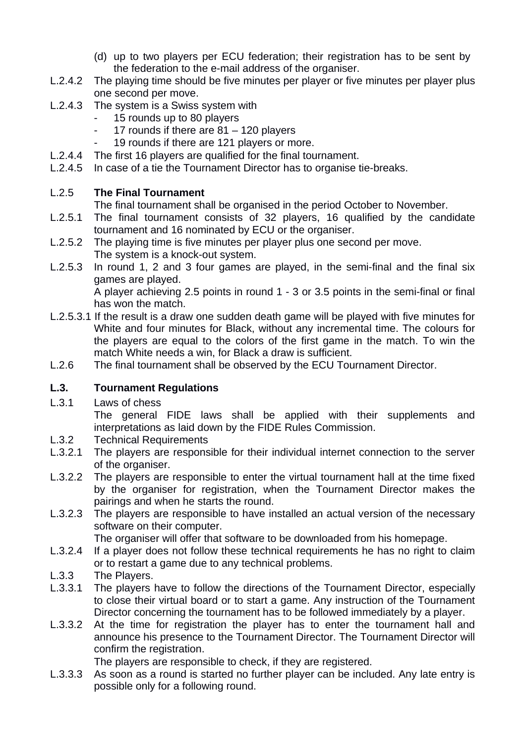- (d) up to two players per ECU federation; their registration has to be sent by the federation to the e-mail address of the organiser.
- L.2.4.2 The playing time should be five minutes per player or five minutes per player plus one second per move.
- L.2.4.3 The system is a Swiss system with
	- 15 rounds up to 80 players
	- 17 rounds if there are 81 120 players
	- 19 rounds if there are 121 players or more.
- L.2.4.4 The first 16 players are qualified for the final tournament.
- L.2.4.5 In case of a tie the Tournament Director has to organise tie-breaks.

# L.2.5 **The Final Tournament**

The final tournament shall be organised in the period October to November.

- L.2.5.1 The final tournament consists of 32 players, 16 qualified by the candidate tournament and 16 nominated by ECU or the organiser.
- L.2.5.2 The playing time is five minutes per player plus one second per move. The system is a knock-out system.
- L.2.5.3 In round 1, 2 and 3 four games are played, in the semi-final and the final six games are played.

A player achieving 2.5 points in round 1 - 3 or 3.5 points in the semi-final or final has won the match.

- L.2.5.3.1 If the result is a draw one sudden death game will be played with five minutes for White and four minutes for Black, without any incremental time. The colours for the players are equal to the colors of the first game in the match. To win the match White needs a win, for Black a draw is sufficient.
- L.2.6 The final tournament shall be observed by the ECU Tournament Director.

# **L.3. Tournament Regulations**

L.3.1 Laws of chess

The general FIDE laws shall be applied with their supplements and interpretations as laid down by the FIDE Rules Commission.

- L.3.2 Technical Requirements
- L.3.2.1 The players are responsible for their individual internet connection to the server of the organiser.
- L.3.2.2 The players are responsible to enter the virtual tournament hall at the time fixed by the organiser for registration, when the Tournament Director makes the pairings and when he starts the round.
- L.3.2.3 The players are responsible to have installed an actual version of the necessary software on their computer.

The organiser will offer that software to be downloaded from his homepage.

- L.3.2.4 If a player does not follow these technical requirements he has no right to claim or to restart a game due to any technical problems.
- L.3.3 The Players.
- L.3.3.1 The players have to follow the directions of the Tournament Director, especially to close their virtual board or to start a game. Any instruction of the Tournament Director concerning the tournament has to be followed immediately by a player.
- L.3.3.2 At the time for registration the player has to enter the tournament hall and announce his presence to the Tournament Director. The Tournament Director will confirm the registration.

The players are responsible to check, if they are registered.

L.3.3.3 As soon as a round is started no further player can be included. Any late entry is possible only for a following round.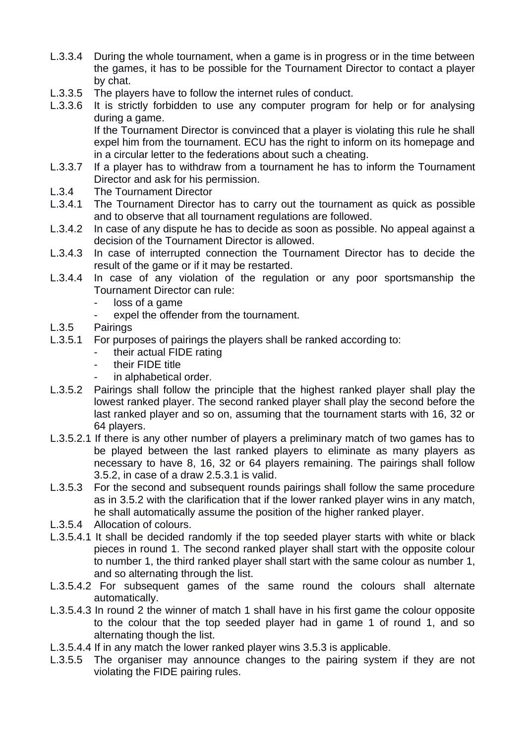- L.3.3.4 During the whole tournament, when a game is in progress or in the time between the games, it has to be possible for the Tournament Director to contact a player by chat.
- L.3.3.5 The players have to follow the internet rules of conduct.
- L.3.3.6 It is strictly forbidden to use any computer program for help or for analysing during a game.

If the Tournament Director is convinced that a player is violating this rule he shall expel him from the tournament. ECU has the right to inform on its homepage and in a circular letter to the federations about such a cheating.

- L.3.3.7 If a player has to withdraw from a tournament he has to inform the Tournament Director and ask for his permission.
- L.3.4 The Tournament Director
- L.3.4.1 The Tournament Director has to carry out the tournament as quick as possible and to observe that all tournament regulations are followed.
- L.3.4.2 In case of any dispute he has to decide as soon as possible. No appeal against a decision of the Tournament Director is allowed.
- L.3.4.3 In case of interrupted connection the Tournament Director has to decide the result of the game or if it may be restarted.
- L.3.4.4 In case of any violation of the regulation or any poor sportsmanship the Tournament Director can rule:
	- loss of a game
		- expel the offender from the tournament.
- L.3.5 Pairings
- L.3.5.1 For purposes of pairings the players shall be ranked according to:
	- their actual FIDE rating
	- their FIDE title
	- in alphabetical order.
- L.3.5.2 Pairings shall follow the principle that the highest ranked player shall play the lowest ranked player. The second ranked player shall play the second before the last ranked player and so on, assuming that the tournament starts with 16, 32 or 64 players.
- L.3.5.2.1 If there is any other number of players a preliminary match of two games has to be played between the last ranked players to eliminate as many players as necessary to have 8, 16, 32 or 64 players remaining. The pairings shall follow 3.5.2, in case of a draw 2.5.3.1 is valid.
- L.3.5.3 For the second and subsequent rounds pairings shall follow the same procedure as in 3.5.2 with the clarification that if the lower ranked player wins in any match, he shall automatically assume the position of the higher ranked player.
- L.3.5.4 Allocation of colours.
- L.3.5.4.1 It shall be decided randomly if the top seeded player starts with white or black pieces in round 1. The second ranked player shall start with the opposite colour to number 1, the third ranked player shall start with the same colour as number 1, and so alternating through the list.
- L.3.5.4.2 For subsequent games of the same round the colours shall alternate automatically.
- L.3.5.4.3 In round 2 the winner of match 1 shall have in his first game the colour opposite to the colour that the top seeded player had in game 1 of round 1, and so alternating though the list.
- L.3.5.4.4 If in any match the lower ranked player wins 3.5.3 is applicable.
- L.3.5.5 The organiser may announce changes to the pairing system if they are not violating the FIDE pairing rules.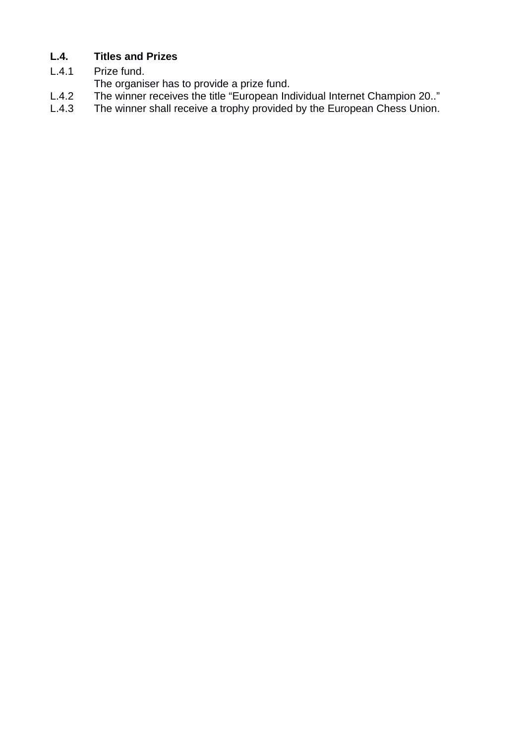# **L.4. Titles and Prizes**

L.4.1 Prize fund.

The organiser has to provide a prize fund.

- L.4.2 The winner receives the title "European Individual Internet Champion 20.."<br>L.4.3 The winner shall receive a trophy provided by the European Chess Union.
- The winner shall receive a trophy provided by the European Chess Union.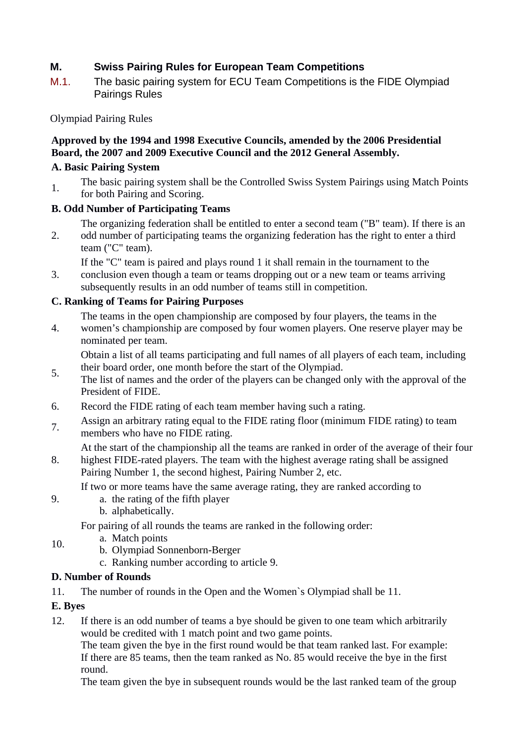# **M. Swiss Pairing Rules for European Team Competitions**

M.1. The basic pairing system for ECU Team Competitions is the FIDE Olympiad Pairings Rules

Olympiad Pairing Rules

## **Approved by the 1994 and 1998 Executive Councils, amended by the 2006 Presidential Board, the 2007 and 2009 Executive Council and the 2012 General Assembly.**

#### **A. Basic Pairing System**

1. The basic pairing system shall be the Controlled Swiss System Pairings using Match Points for both Pairing and Scoring.

# **B. Odd Number of Participating Teams**

- The organizing federation shall be entitled to enter a second team ("B" team). If there is an
- 2. odd number of participating teams the organizing federation has the right to enter a third team ("C" team).

If the "C" team is paired and plays round 1 it shall remain in the tournament to the

3. conclusion even though a team or teams dropping out or a new team or teams arriving subsequently results in an odd number of teams still in competition.

### **C. Ranking of Teams for Pairing Purposes**

- The teams in the open championship are composed by four players, the teams in the
- 4. women's championship are composed by four women players. One reserve player may be nominated per team.

Obtain a list of all teams participating and full names of all players of each team, including their board order, one month before the start of the Olympiad.

- 5. The list of names and the order of the players can be changed only with the approval of the President of FIDE.
- 6. Record the FIDE rating of each team member having such a rating.
- 7. Assign an arbitrary rating equal to the FIDE rating floor (minimum FIDE rating) to team members who have no FIDE rating.
	- At the start of the championship all the teams are ranked in order of the average of their four
- 8. highest FIDE-rated players. The team with the highest average rating shall be assigned Pairing Number 1, the second highest, Pairing Number 2, etc.

If two or more teams have the same average rating, they are ranked according to

- a. the rating of the fifth player
	- b. alphabetically.

For pairing of all rounds the teams are ranked in the following order:

- 10. a. Match points
	- b. Olympiad Sonnenborn-Berger
		- c. Ranking number according to article 9.

# **D. Number of Rounds**

11. The number of rounds in the Open and the Women`s Olympiad shall be 11.

# **E. Byes**

9.

12. If there is an odd number of teams a bye should be given to one team which arbitrarily would be credited with 1 match point and two game points.

The team given the bye in the first round would be that team ranked last. For example: If there are 85 teams, then the team ranked as No. 85 would receive the bye in the first round.

The team given the bye in subsequent rounds would be the last ranked team of the group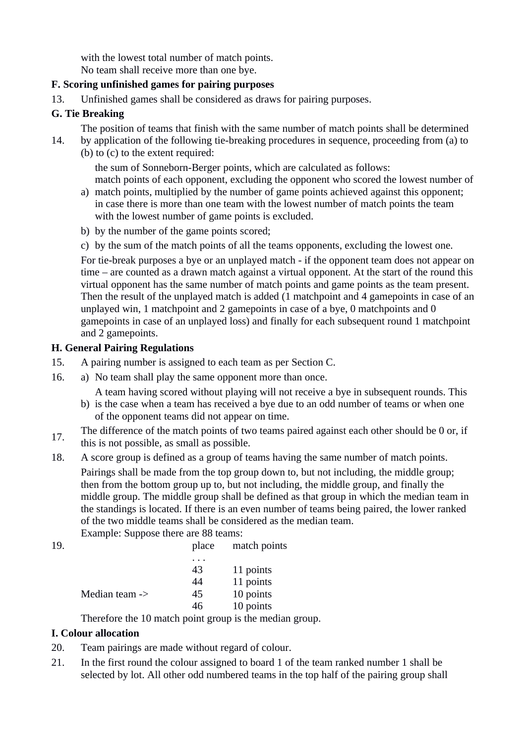with the lowest total number of match points. No team shall receive more than one bye.

#### **F. Scoring unfinished games for pairing purposes**

13. Unfinished games shall be considered as draws for pairing purposes.

# **G. Tie Breaking**

The position of teams that finish with the same number of match points shall be determined

14. by application of the following tie-breaking procedures in sequence, proceeding from (a) to (b) to (c) to the extent required:

the sum of Sonneborn-Berger points, which are calculated as follows: match points of each opponent, excluding the opponent who scored the lowest number of

- a) match points, multiplied by the number of game points achieved against this opponent; in case there is more than one team with the lowest number of match points the team with the lowest number of game points is excluded.
- b) by the number of the game points scored;
- c) by the sum of the match points of all the teams opponents, excluding the lowest one.

For tie-break purposes a bye or an unplayed match - if the opponent team does not appear on time – are counted as a drawn match against a virtual opponent. At the start of the round this virtual opponent has the same number of match points and game points as the team present. Then the result of the unplayed match is added (1 matchpoint and 4 gamepoints in case of an unplayed win, 1 matchpoint and 2 gamepoints in case of a bye, 0 matchpoints and 0 gamepoints in case of an unplayed loss) and finally for each subsequent round 1 matchpoint and 2 gamepoints.

### **H. General Pairing Regulations**

- 15. A pairing number is assigned to each team as per Section C.
- 16. a) No team shall play the same opponent more than once.

A team having scored without playing will not receive a bye in subsequent rounds. This

- b) is the case when a team has received a bye due to an odd number of teams or when one of the opponent teams did not appear on time.
- 17. The difference of the match points of two teams paired against each other should be 0 or, if this is not possible, as small as possible.
- 18. A score group is defined as a group of teams having the same number of match points. Pairings shall be made from the top group down to, but not including, the middle group; then from the bottom group up to, but not including, the middle group, and finally the middle group. The middle group shall be defined as that group in which the median team in the standings is located. If there is an even number of teams being paired, the lower ranked of the two middle teams shall be considered as the median team. Example: Suppose there are 88 teams:

|     | LAdilipic. Duppose there are no tealis. |   |                    |
|-----|-----------------------------------------|---|--------------------|
| 19. |                                         |   | place match points |
|     |                                         | . |                    |

|                | 43 | 11 points                    |
|----------------|----|------------------------------|
|                | 44 | 11 points                    |
| Median team -> | 45 | 10 points                    |
|                | 46 | 10 points                    |
| m<br>$\cdot$ 1 |    | $\cdot$ . The set of $\cdot$ |

Therefore the 10 match point group is the median group.

# **I. Colour allocation**

- 20. Team pairings are made without regard of colour.
- 21. In the first round the colour assigned to board 1 of the team ranked number 1 shall be selected by lot. All other odd numbered teams in the top half of the pairing group shall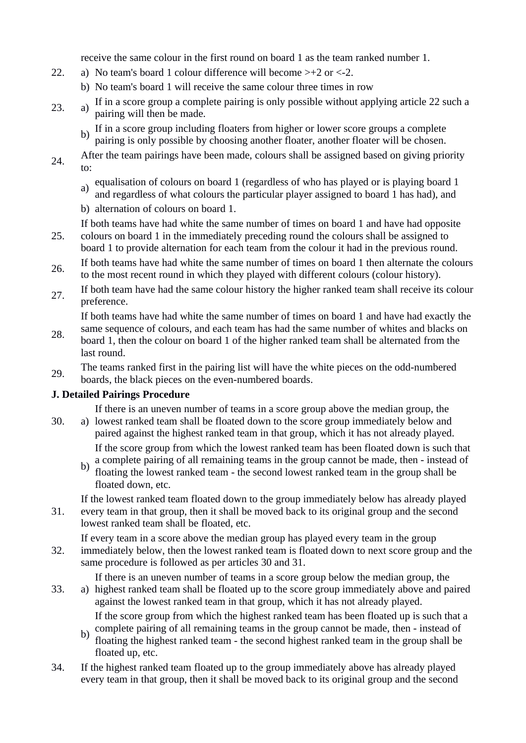receive the same colour in the first round on board 1 as the team ranked number 1.

- 22. a) No team's board 1 colour difference will become >+2 or <-2.
	- b) No team's board 1 will receive the same colour three times in row
- 23. a) If in a score group a complete pairing is only possible without applying article 22 such a pairing will then be made.
	- b) If in a score group including floaters from higher or lower score groups a complete pairing is only possible by choosing another floater, another floater will be chosen.
- $24.$  After the team pairings have been made, colours shall be assigned based on giving priority to:
	- a) equalisation of colours on board 1 (regardless of who has played or is playing board 1
	- and regardless of what colours the particular player assigned to board 1 has had), and
	- b) alternation of colours on board 1.

If both teams have had white the same number of times on board 1 and have had opposite

- 25. colours on board 1 in the immediately preceding round the colours shall be assigned to board 1 to provide alternation for each team from the colour it had in the previous round.
- 26. If both teams have had white the same number of times on board 1 then alternate the colours to the most recent round in which they played with different colours (colour history).
- 27. If both team have had the same colour history the higher ranked team shall receive its colour preference.

If both teams have had white the same number of times on board 1 and have had exactly the

- 28. same sequence of colours, and each team has had the same number of whites and blacks on board 1, then the colour on board 1 of the higher ranked team shall be alternated from the last round.
- 29. The teams ranked first in the pairing list will have the white pieces on the odd-numbered boards, the black pieces on the even-numbered boards.

# **J. Detailed Pairings Procedure**

If there is an uneven number of teams in a score group above the median group, the

- $30.$ a) lowest ranked team shall be floated down to the score group immediately below and paired against the highest ranked team in that group, which it has not already played. If the score group from which the lowest ranked team has been floated down is such that
	- b) a complete pairing of all remaining teams in the group cannot be made, then - instead of floating the lowest ranked team - the second lowest ranked team in the group shall be floated down, etc.

If the lowest ranked team floated down to the group immediately below has already played

31. every team in that group, then it shall be moved back to its original group and the second lowest ranked team shall be floated, etc.

32. If every team in a score above the median group has played every team in the group immediately below, then the lowest ranked team is floated down to next score group and the same procedure is followed as per articles 30 and 31.

If there is an uneven number of teams in a score group below the median group, the

 $33.$ highest ranked team shall be floated up to the score group immediately above and paired against the lowest ranked team in that group, which it has not already played.

If the score group from which the highest ranked team has been floated up is such that a complete pairing of all remaining teams in the group cannot be made, then - instead of

- b) floating the highest ranked team - the second highest ranked team in the group shall be floated up, etc.
- 34. If the highest ranked team floated up to the group immediately above has already played every team in that group, then it shall be moved back to its original group and the second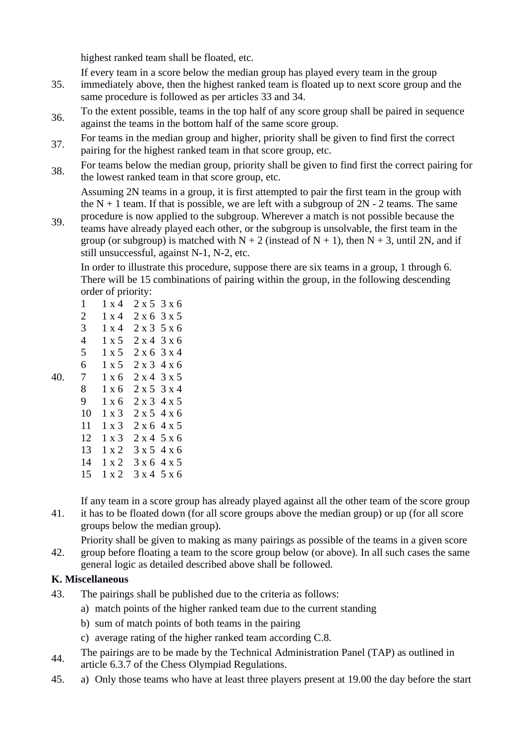highest ranked team shall be floated, etc.

If every team in a score below the median group has played every team in the group

- 35. immediately above, then the highest ranked team is floated up to next score group and the same procedure is followed as per articles 33 and 34.
- 36. To the extent possible, teams in the top half of any score group shall be paired in sequence against the teams in the bottom half of the same score group.
- 37. For teams in the median group and higher, priority shall be given to find first the correct pairing for the highest ranked team in that score group, etc.
- 38. For teams below the median group, priority shall be given to find first the correct pairing for the lowest ranked team in that score group, etc.

Assuming 2N teams in a group, it is first attempted to pair the first team in the group with the  $N + 1$  team. If that is possible, we are left with a subgroup of  $2N - 2$  teams. The same procedure is now applied to the subgroup. Wherever a match is not possible because the

39. teams have already played each other, or the subgroup is unsolvable, the first team in the group (or subgroup) is matched with  $N + 2$  (instead of  $N + 1$ ), then  $N + 3$ , until 2N, and if still unsuccessful, against N-1, N-2, etc.

In order to illustrate this procedure, suppose there are six teams in a group, 1 through 6. There will be 15 combinations of pairing within the group, in the following descending order of priority:

| 1              | $1 \times 4$ | 2 x 5 | 3 x 6                     |
|----------------|--------------|-------|---------------------------|
| $\overline{2}$ | 1 x 4        | 2 x 6 | 3 x 5                     |
| 3              | 1 x 4        | 2 x 3 | 5x6                       |
| 4              | $1 \times 5$ | 2 x 4 | $3 \times 6$              |
| 5              | 1 x 5        | 2 x 6 | $3 \times 4$              |
| 6              | 1 x 5        | 2 x 3 | 4 x 6                     |
| 7              | 1 x 6        | 2 x 4 | $3 \times 5$              |
| 8              | $1 \times 6$ |       | $2 \times 5$ 3 $\times$ 4 |
| 9              | $1 \times 6$ |       | 2x34x5                    |
| 10             | $1 \times 3$ |       | 2x54x6                    |
| 11             | 1 x 3        |       | $2 \times 6$ 4 $\times$ 5 |
| 12             | $1 \times 3$ |       | $2 \times 4$ 5 $\times$ 6 |
| 13             | $1 \times 2$ |       | 3x54x6                    |
| 14             | $1 \times 2$ |       | 3x64x5                    |
| 15             | $1 \times 2$ |       | 3 x 4 5 x 6               |

If any team in a score group has already played against all the other team of the score group

- 41. it has to be floated down (for all score groups above the median group) or up (for all score groups below the median group).
- 42. Priority shall be given to making as many pairings as possible of the teams in a given score
- group before floating a team to the score group below (or above). In all such cases the same general logic as detailed described above shall be followed.

# **K. Miscellaneous**

40.

- 43. The pairings shall be published due to the criteria as follows:
	- a) match points of the higher ranked team due to the current standing
	- b) sum of match points of both teams in the pairing
	- c) average rating of the higher ranked team according C.8.
- The pairings are to be made by the Technical Administration Panel (TAP) as outlined in article 6.3.7 of the Chess Olympiad Regulations.
- 45. a) Only those teams who have at least three players present at 19.00 the day before the start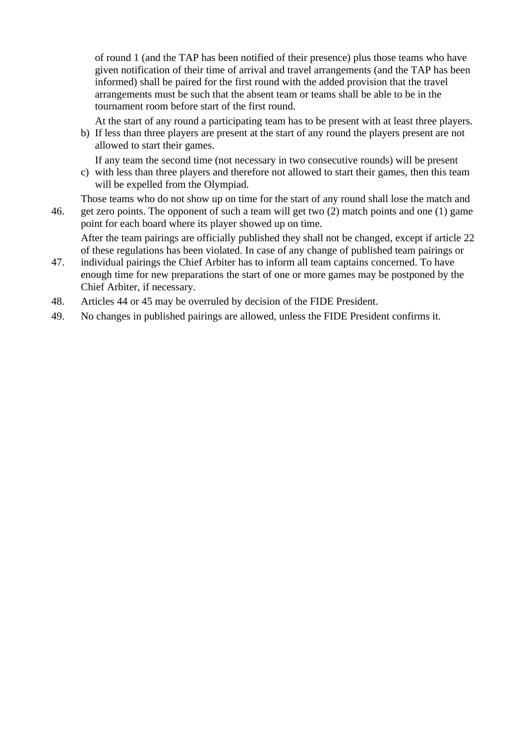of round 1 (and the TAP has been notified of their presence) plus those teams who have given notification of their time of arrival and travel arrangements (and the TAP has been informed) shall be paired for the first round with the added provision that the travel arrangements must be such that the absent team or teams shall be able to be in the tournament room before start of the first round.

At the start of any round a participating team has to be present with at least three players.

b) If less than three players are present at the start of any round the players present are not allowed to start their games.

If any team the second time (not necessary in two consecutive rounds) will be present

c) with less than three players and therefore not allowed to start their games, then this team will be expelled from the Olympiad.

Those teams who do not show up on time for the start of any round shall lose the match and

46. get zero points. The opponent of such a team will get two (2) match points and one (1) game point for each board where its player showed up on time.

After the team pairings are officially published they shall not be changed, except if article 22 of these regulations has been violated. In case of any change of published team pairings or

- 47. individual pairings the Chief Arbiter has to inform all team captains concerned. To have enough time for new preparations the start of one or more games may be postponed by the Chief Arbiter, if necessary.
- 48. Articles 44 or 45 may be overruled by decision of the FIDE President.
- 49. No changes in published pairings are allowed, unless the FIDE President confirms it.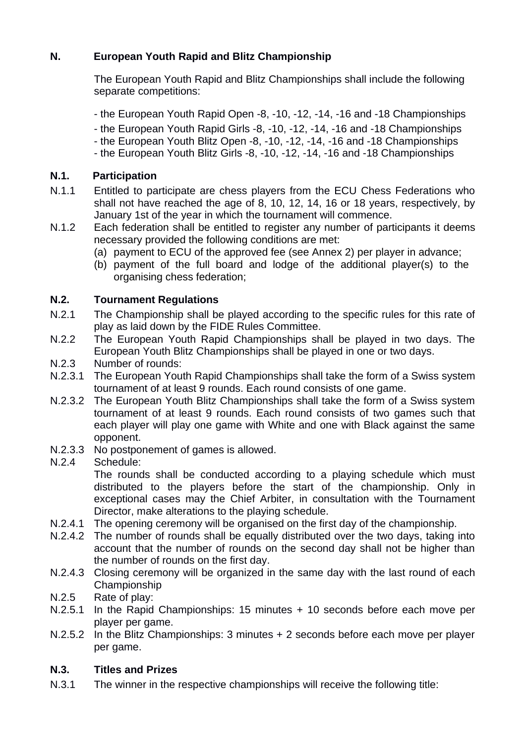# **N. European Youth Rapid and Blitz Championship**

The European Youth Rapid and Blitz Championships shall include the following separate competitions:

- the European Youth Rapid Open -8, -10, -12, -14, -16 and -18 Championships
- the European Youth Rapid Girls -8, -10, -12, -14, -16 and -18 Championships
- the European Youth Blitz Open -8, -10, -12, -14, -16 and -18 Championships
- the European Youth Blitz Girls -8, -10, -12, -14, -16 and -18 Championships

# **N.1. Participation**

- N.1.1 Entitled to participate are chess players from the ECU Chess Federations who shall not have reached the age of 8, 10, 12, 14, 16 or 18 years, respectively, by January 1st of the year in which the tournament will commence.
- N.1.2 Each federation shall be entitled to register any number of participants it deems necessary provided the following conditions are met:
	- (a) payment to ECU of the approved fee (see Annex 2) per player in advance;
	- (b) payment of the full board and lodge of the additional player(s) to the organising chess federation;

# **N.2. Tournament Regulations**

- N.2.1 The Championship shall be played according to the specific rules for this rate of play as laid down by the FIDE Rules Committee.
- N.2.2 The European Youth Rapid Championships shall be played in two days. The European Youth Blitz Championships shall be played in one or two days.
- N.2.3 Number of rounds:
- N.2.3.1 The European Youth Rapid Championships shall take the form of a Swiss system tournament of at least 9 rounds. Each round consists of one game.
- N.2.3.2 The European Youth Blitz Championships shall take the form of a Swiss system tournament of at least 9 rounds. Each round consists of two games such that each player will play one game with White and one with Black against the same opponent.
- N.2.3.3 No postponement of games is allowed.
- N.2.4 Schedule:

The rounds shall be conducted according to a playing schedule which must distributed to the players before the start of the championship. Only in exceptional cases may the Chief Arbiter, in consultation with the Tournament Director, make alterations to the playing schedule.

- N.2.4.1 The opening ceremony will be organised on the first day of the championship.
- N.2.4.2 The number of rounds shall be equally distributed over the two days, taking into account that the number of rounds on the second day shall not be higher than the number of rounds on the first day.
- N.2.4.3 Closing ceremony will be organized in the same day with the last round of each Championship
- N.2.5 Rate of play:
- N.2.5.1 In the Rapid Championships: 15 minutes + 10 seconds before each move per player per game.
- N.2.5.2 In the Blitz Championships: 3 minutes + 2 seconds before each move per player per game.

# **N.3. Titles and Prizes**

N.3.1 The winner in the respective championships will receive the following title: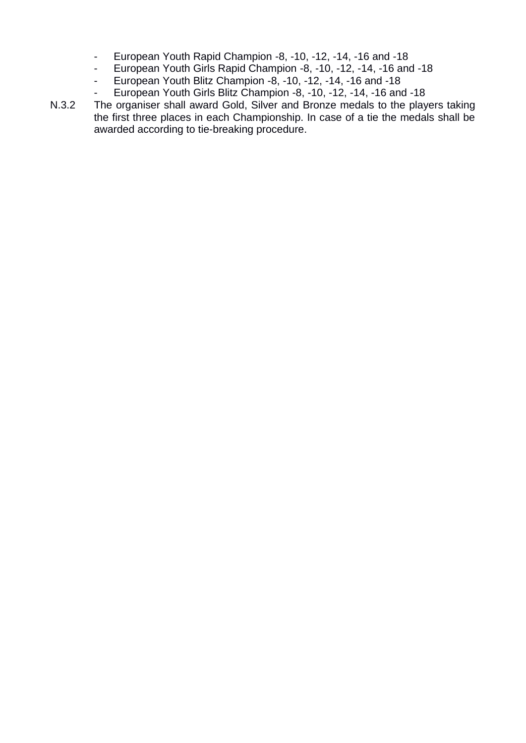- European Youth Rapid Champion -8, -10, -12, -14, -16 and -18
- European Youth Girls Rapid Champion -8, -10, -12, -14, -16 and -18
- European Youth Blitz Champion -8, -10, -12, -14, -16 and -18
- European Youth Girls Blitz Champion -8, -10, -12, -14, -16 and -18

N.3.2 The organiser shall award Gold, Silver and Bronze medals to the players taking the first three places in each Championship. In case of a tie the medals shall be awarded according to tie-breaking procedure.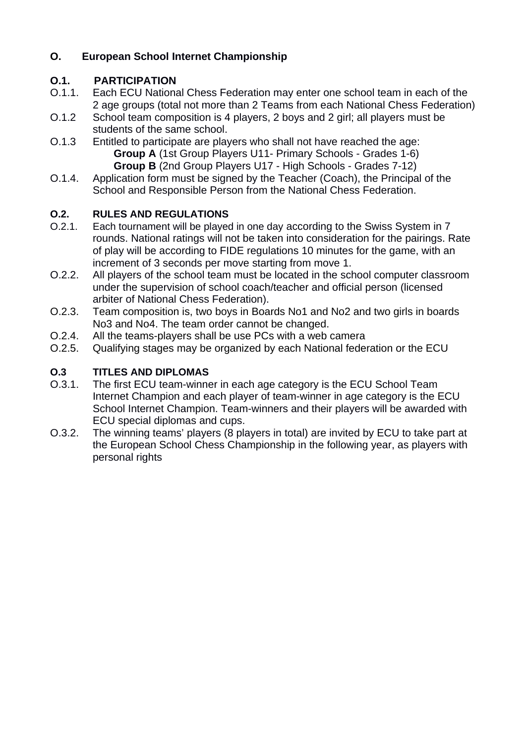# **O. European School Internet Championship**

# **O.1. PARTICIPATION**

- O.1.1. Each ECU National Chess Federation may enter one school team in each of the 2 age groups (total not more than 2 Teams from each National Chess Federation)
- O.1.2 School team composition is 4 players, 2 boys and 2 girl; all players must be students of the same school.
- O.1.3 Entitled to participate are players who shall not have reached the age: **Group A** (1st Group Players U11- Primary Schools - Grades 1-6) **Group B** (2nd Group Players U17 - High Schools - Grades 7-12)
- O.1.4. Application form must be signed by the Teacher (Coach), the Principal of the School and Responsible Person from the National Chess Federation.

# **O.2. RULES AND REGULATIONS**

- O.2.1. Each tournament will be played in one day according to the Swiss System in 7 rounds. National ratings will not be taken into consideration for the pairings. Rate of play will be according to FIDE regulations 10 minutes for the game, with an increment of 3 seconds per move starting from move 1.
- O.2.2. All players of the school team must be located in the school computer classroom under the supervision of school coach/teacher and official person (licensed arbiter of National Chess Federation).
- O.2.3. Team composition is, two boys in Boards No1 and No2 and two girls in boards No3 and No4. The team order cannot be changed.
- O.2.4. All the teams-players shall be use PCs with a web camera
- O.2.5. Qualifying stages may be organized by each National federation or the ECU

# **O.3 TITLES AND DIPLOMAS**

- O.3.1. The first ECU team-winner in each age category is the ECU School Team Internet Champion and each player of team-winner in age category is the ECU School Internet Champion. Team-winners and their players will be awarded with ECU special diplomas and cups.
- O.3.2. The winning teams' players (8 players in total) are invited by ECU to take part at the European School Chess Championship in the following year, as players with personal rights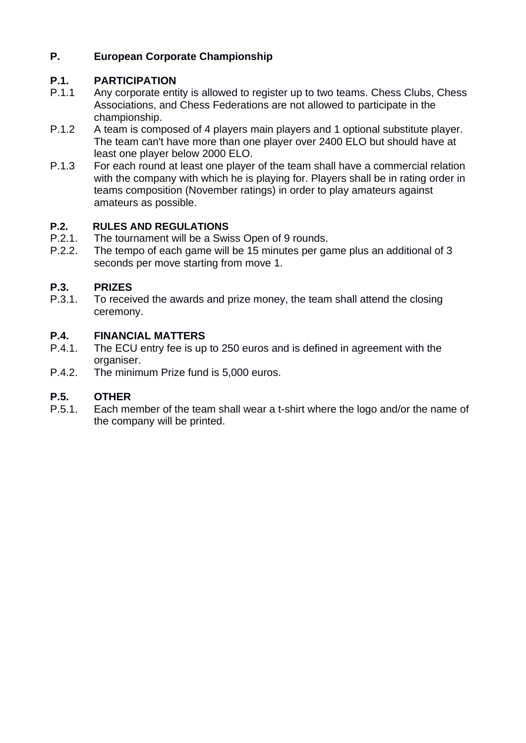# **P. European Corporate Championship**

# **P.1. PARTICIPATION**

- P.1.1 Any corporate entity is allowed to register up to two teams. Chess Clubs, Chess Associations, and Chess Federations are not allowed to participate in the championship.
- P.1.2 A team is composed of 4 players main players and 1 optional substitute player. The team can't have more than one player over 2400 ELO but should have at least one player below 2000 ELO.
- P.1.3 For each round at least one player of the team shall have a commercial relation with the company with which he is playing for. Players shall be in rating order in teams composition (November ratings) in order to play amateurs against amateurs as possible.

# **P.2. RULES AND REGULATIONS**

- P.2.1. The tournament will be a Swiss Open of 9 rounds.
- P.2.2. The tempo of each game will be 15 minutes per game plus an additional of 3 seconds per move starting from move 1.

# **P.3. PRIZES**

P.3.1. To received the awards and prize money, the team shall attend the closing ceremony.

# **P.4. FINANCIAL MATTERS**

- P.4.1. The ECU entry fee is up to 250 euros and is defined in agreement with the organiser.
- P.4.2. The minimum Prize fund is 5,000 euros.

# **P.5. OTHER**

P.5.1. Each member of the team shall wear a t-shirt where the logo and/or the name of the company will be printed.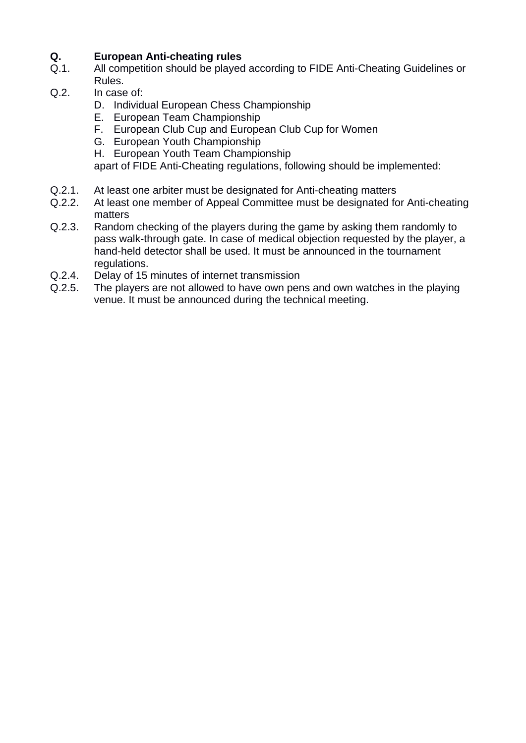- **Q. European Anti-cheating rules** All competition should be played according to FIDE Anti-Cheating Guidelines or Rules.
- Q.2. In case of:
	- D. Individual European Chess Championship
	- E. European Team Championship
	- F. European Club Cup and European Club Cup for Women
	- G. European Youth Championship
	- H. European Youth Team Championship

apart of FIDE Anti-Cheating regulations, following should be implemented:

- Q.2.1. At least one arbiter must be designated for Anti-cheating matters
- Q.2.2. At least one member of Appeal Committee must be designated for Anti-cheating matters
- Q.2.3. Random checking of the players during the game by asking them randomly to pass walk-through gate. In case of medical objection requested by the player, a hand-held detector shall be used. It must be announced in the tournament regulations.
- Q.2.4. Delay of 15 minutes of internet transmission
- Q.2.5. The players are not allowed to have own pens and own watches in the playing venue. It must be announced during the technical meeting.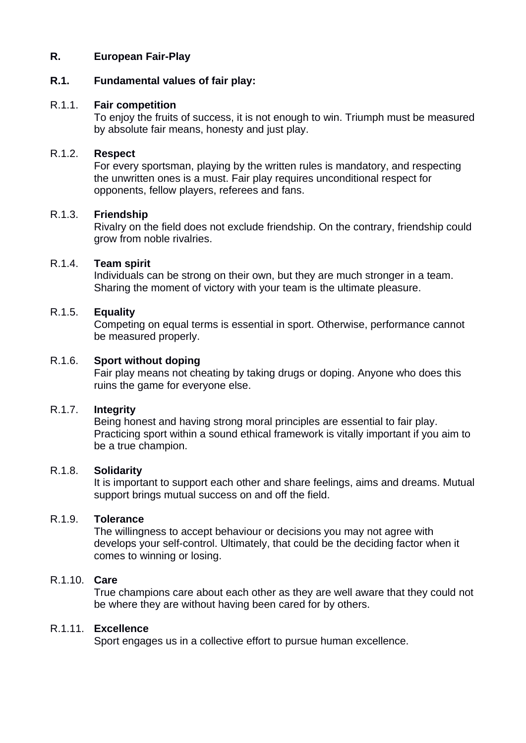#### **R. European Fair-Play**

#### **R.1. Fundamental values of fair play:**

#### R.1.1. **Fair competition**

To enjoy the fruits of success, it is not enough to win. Triumph must be measured by absolute fair means, honesty and just play.

#### R.1.2. **Respect**

For every sportsman, playing by the written rules is mandatory, and respecting the unwritten ones is a must. Fair play requires unconditional respect for opponents, fellow players, referees and fans.

#### R.1.3. **Friendship**

Rivalry on the field does not exclude friendship. On the contrary, friendship could grow from noble rivalries.

#### R.1.4. **Team spirit**

Individuals can be strong on their own, but they are much stronger in a team. Sharing the moment of victory with your team is the ultimate pleasure.

#### R.1.5. **Equality**

Competing on equal terms is essential in sport. Otherwise, performance cannot be measured properly.

#### R.1.6. **Sport without doping**

Fair play means not cheating by taking drugs or doping. Anyone who does this ruins the game for everyone else.

#### R.1.7. **Integrity**

Being honest and having strong moral principles are essential to fair play. Practicing sport within a sound ethical framework is vitally important if you aim to be a true champion.

#### R.1.8. **Solidarity**

It is important to support each other and share feelings, aims and dreams. Mutual support brings mutual success on and off the field.

#### R.1.9. **Tolerance**

The willingness to accept behaviour or decisions you may not agree with develops your self-control. Ultimately, that could be the deciding factor when it comes to winning or losing.

# R.1.10. **Care**

True champions care about each other as they are well aware that they could not be where they are without having been cared for by others.

#### R.1.11. **Excellence**

Sport engages us in a collective effort to pursue human excellence.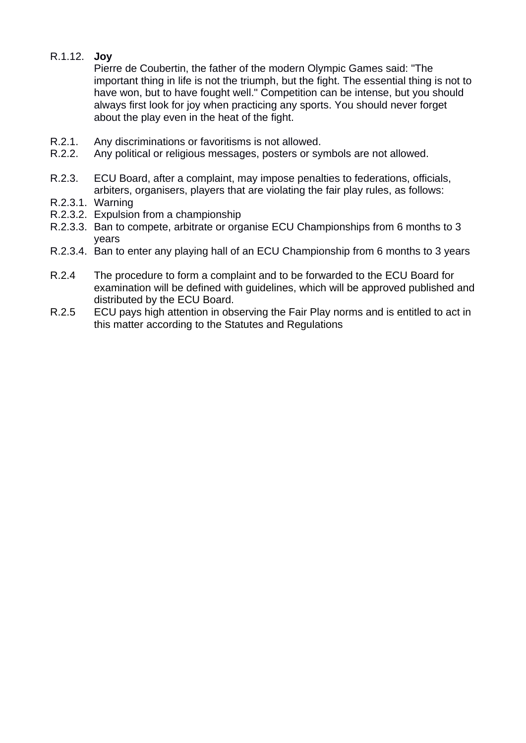# R.1.12. **Joy**

Pierre de Coubertin, the father of the modern Olympic Games said: "The important thing in life is not the triumph, but the fight. The essential thing is not to have won, but to have fought well." Competition can be intense, but you should always first look for joy when practicing any sports. You should never forget about the play even in the heat of the fight.

- R.2.1. Any discriminations or favoritisms is not allowed.
- R.2.2. Any political or religious messages, posters or symbols are not allowed.
- R.2.3. ECU Board, after a complaint, may impose penalties to federations, officials, arbiters, organisers, players that are violating the fair play rules, as follows:
- R.2.3.1. Warning
- R.2.3.2. Expulsion from a championship
- R.2.3.3. Ban to compete, arbitrate or organise ECU Championships from 6 months to 3 years
- R.2.3.4. Ban to enter any playing hall of an ECU Championship from 6 months to 3 years
- R.2.4 The procedure to form a complaint and to be forwarded to the ECU Board for examination will be defined with guidelines, which will be approved published and distributed by the ECU Board.
- R.2.5 ECU pays high attention in observing the Fair Play norms and is entitled to act in this matter according to the Statutes and Regulations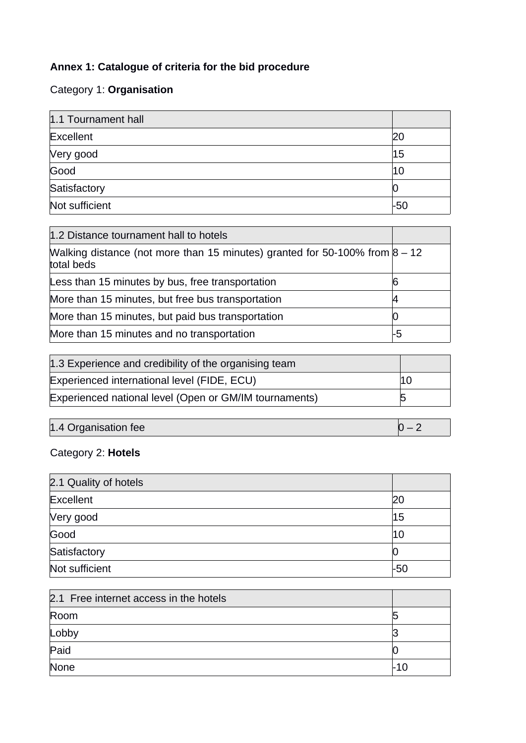# **Annex 1: Catalogue of criteria for the bid procedure**

# Category 1: **Organisation**

| 1.1 Tournament hall |     |
|---------------------|-----|
| Excellent           |     |
| Very good           | 15  |
| Good                | 10  |
| Satisfactory        |     |
| Not sufficient      | -50 |

| 1.2 Distance tournament hall to hotels                                                      |    |
|---------------------------------------------------------------------------------------------|----|
| Walking distance (not more than 15 minutes) granted for 50-100% from $8 - 12$<br>total beds |    |
| Less than 15 minutes by bus, free transportation                                            | 6  |
| More than 15 minutes, but free bus transportation                                           |    |
| More than 15 minutes, but paid bus transportation                                           |    |
| More than 15 minutes and no transportation                                                  | -5 |

| 1.3 Experience and credibility of the organising team  |    |
|--------------------------------------------------------|----|
| Experienced international level (FIDE, ECU)            | 10 |
| Experienced national level (Open or GM/IM tournaments) |    |

| $ 1.4$ Organisation fee $ $ | $\overline{\phantom{a}}$ |
|-----------------------------|--------------------------|

# Category 2: **Hotels**

| 2.1 Quality of hotels |     |
|-----------------------|-----|
| Excellent             | 20  |
| Very good             | 15  |
| Good                  | 10  |
| Satisfactory          |     |
| Not sufficient        | -50 |

| 2.1 Free internet access in the hotels |  |
|----------------------------------------|--|
| Room                                   |  |
| Lobby                                  |  |
| Paid                                   |  |
| None                                   |  |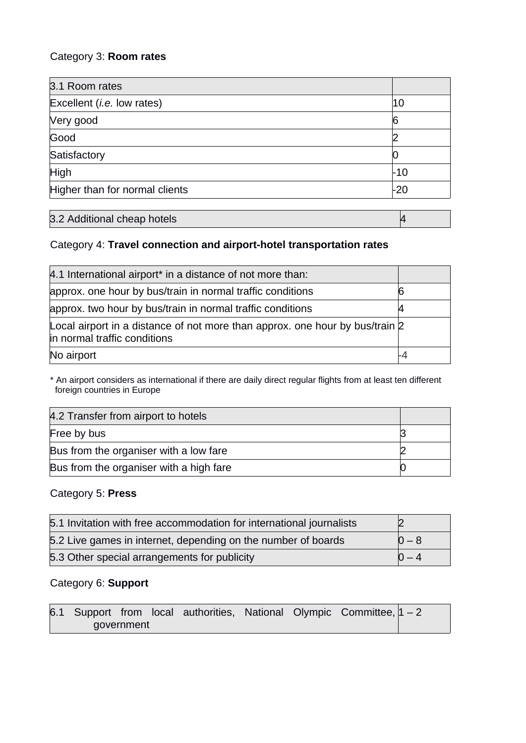# Category 3: **Room rates**

| 3.1 Room rates                     |     |
|------------------------------------|-----|
| Excellent ( <i>i.e.</i> low rates) | 10  |
| Very good                          | 6   |
| Good                               |     |
| Satisfactory                       |     |
| High                               | -10 |
| Higher than for normal clients     | -20 |

| 3.2 Additional cheap hotels |  |
|-----------------------------|--|
|-----------------------------|--|

# Category 4: **Travel connection and airport-hotel transportation rates**

| 4.1 International airport* in a distance of not more than:                                                   |  |
|--------------------------------------------------------------------------------------------------------------|--|
| approx. one hour by bus/train in normal traffic conditions                                                   |  |
| approx. two hour by bus/train in normal traffic conditions                                                   |  |
| Local airport in a distance of not more than approx. one hour by bus/train 2<br>in normal traffic conditions |  |
| No airport                                                                                                   |  |

\* An airport considers as international if there are daily direct regular flights from at least ten different foreign countries in Europe

| 4.2 Transfer from airport to hotels     |  |  |
|-----------------------------------------|--|--|
| Free by bus                             |  |  |
| Bus from the organiser with a low fare  |  |  |
| Bus from the organiser with a high fare |  |  |

#### Category 5: **Press**

| 5.1 Invitation with free accommodation for international journalists |           |
|----------------------------------------------------------------------|-----------|
| 5.2 Live games in internet, depending on the number of boards        | $ 0 - 8 $ |
| 5.3 Other special arrangements for publicity                         | $ 0 - 4 $ |

# Category 6: **Support**

|  |            |  |  | 6.1 Support from local authorities, National Olympic Committee, $ 1 - 2 $ |  |
|--|------------|--|--|---------------------------------------------------------------------------|--|
|  | government |  |  |                                                                           |  |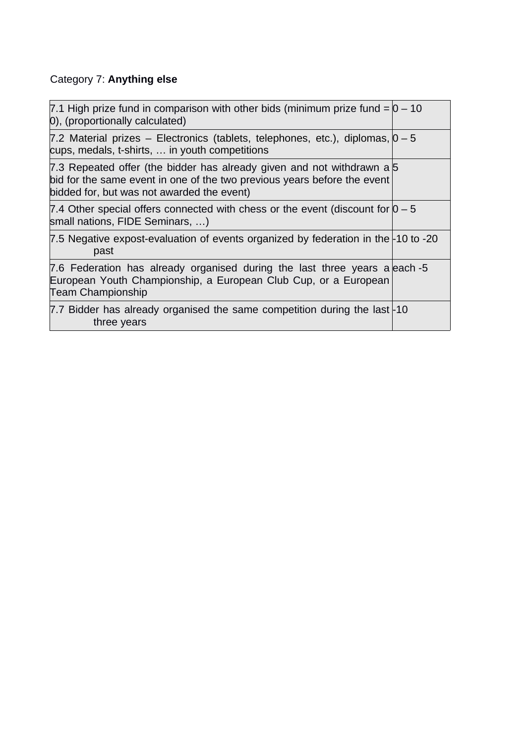# Category 7: **Anything else**

| 7.1 High prize fund in comparison with other bids (minimum prize fund $=$ $\sqrt{0}$ – 10<br>0), (proportionally calculated)                                                                     |  |
|--------------------------------------------------------------------------------------------------------------------------------------------------------------------------------------------------|--|
| 7.2 Material prizes – Electronics (tablets, telephones, etc.), diplomas, $0-5$<br>cups, medals, t-shirts,  in youth competitions                                                                 |  |
| 7.3 Repeated offer (the bidder has already given and not withdrawn a 5<br>bid for the same event in one of the two previous years before the event<br>bidded for, but was not awarded the event) |  |
| 7.4 Other special offers connected with chess or the event (discount for $0 - 5$<br>small nations, FIDE Seminars, )                                                                              |  |
| 7.5 Negative expost-evaluation of events organized by federation in the $-10$ to $-20$<br>past                                                                                                   |  |
| 7.6 Federation has already organised during the last three years a each -5<br>European Youth Championship, a European Club Cup, or a European<br><b>Team Championship</b>                        |  |
| 7.7 Bidder has already organised the same competition during the last $\pm 10$<br>three years                                                                                                    |  |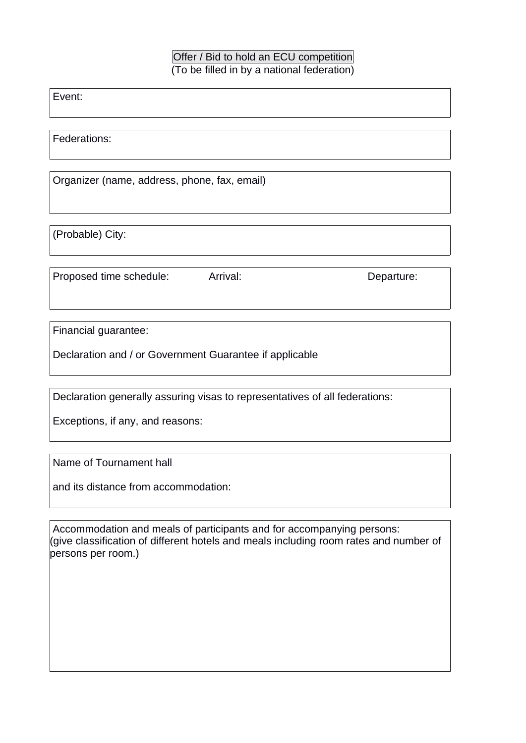### Offer / Bid to hold an ECU competition (To be filled in by a national federation)

Event:

Federations:

Organizer (name, address, phone, fax, email)

(Probable) City:

Proposed time schedule: Arrival: example and Departure:

Financial guarantee:

Declaration and / or Government Guarantee if applicable

Declaration generally assuring visas to representatives of all federations:

Exceptions, if any, and reasons:

Name of Tournament hall

and its distance from accommodation:

 Accommodation and meals of participants and for accompanying persons: (give classification of different hotels and meals including room rates and number of persons per room.)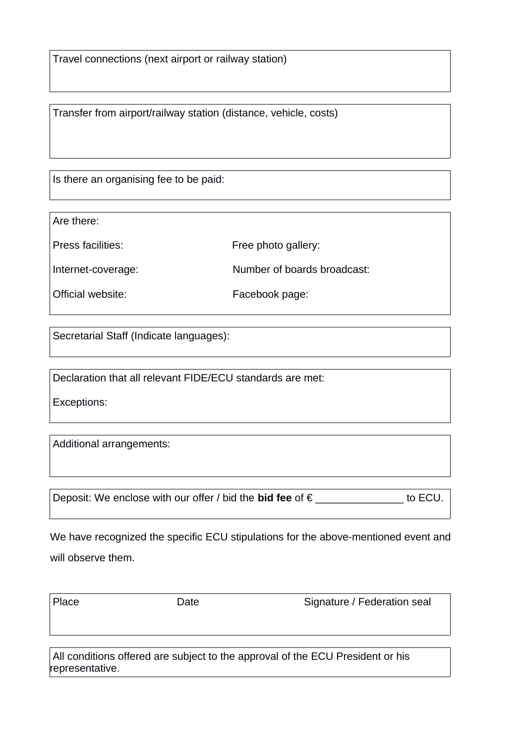Travel connections (next airport or railway station)

Transfer from airport/railway station (distance, vehicle, costs)

Is there an organising fee to be paid:

Are there:

Press facilities: Free photo gallery:

Internet-coverage: Number of boards broadcast:

Official website: Facebook page:

Secretarial Staff (Indicate languages):

Declaration that all relevant FIDE/ECU standards are met:

Exceptions:

Additional arrangements:

Deposit: We enclose with our offer / bid the **bid fee** of € \_\_\_\_\_\_\_\_\_\_\_\_\_\_\_ to ECU.

We have recognized the specific ECU stipulations for the above-mentioned event and will observe them.

Place Date Date Signature / Federation seal

 All conditions offered are subject to the approval of the ECU President or his representative.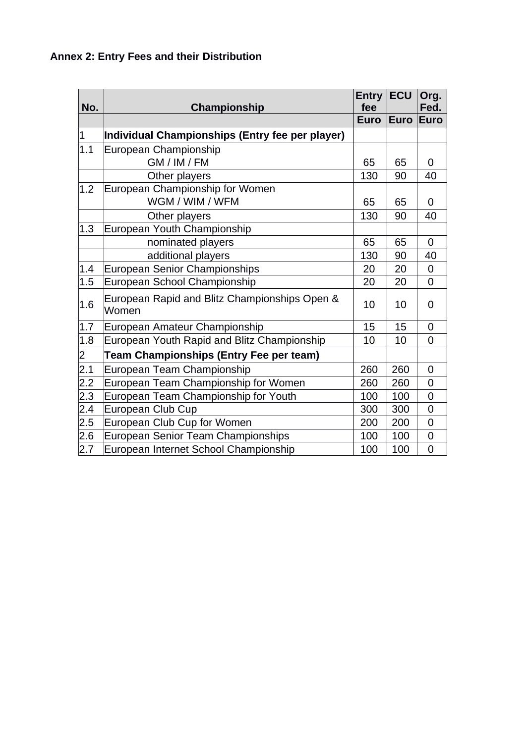# **Annex 2: Entry Fees and their Distribution**

|           |                                                        | $Entry$ $ECU$<br>fee |             | Org.<br>Fed.   |
|-----------|--------------------------------------------------------|----------------------|-------------|----------------|
| No.       | <b>Championship</b>                                    | <b>Euro</b>          | <b>Euro</b> | <b>Euro</b>    |
| $\vert$ 1 | Individual Championships (Entry fee per player)        |                      |             |                |
| 1.1       | European Championship                                  |                      |             |                |
|           | GM / IM / FM                                           | 65                   | 65          | $\Omega$       |
|           | Other players                                          | 130                  | 90          | 40             |
| 1.2       | European Championship for Women                        |                      |             |                |
|           | WGM / WIM / WFM                                        | 65                   | 65          | $\Omega$       |
|           | Other players                                          | 130                  | 90          | 40             |
| 1.3       | European Youth Championship                            |                      |             |                |
|           | nominated players                                      | 65                   | 65          | $\overline{0}$ |
|           | additional players                                     | 130                  | 90          | 40             |
| 1.4       | European Senior Championships                          | 20                   | 20          | $\overline{0}$ |
| 1.5       | European School Championship                           | 20                   | 20          | 0              |
| 1.6       | European Rapid and Blitz Championships Open &<br>Women | 10                   | 10          | 0              |
| 1.7       | European Amateur Championship                          | 15                   | 15          | 0              |
| 1.8       | European Youth Rapid and Blitz Championship            | 10                   | 10          | $\overline{0}$ |
| 2         | <b>Team Championships (Entry Fee per team)</b>         |                      |             |                |
| 2.1       | European Team Championship                             | 260                  | 260         | 0              |
| 2.2       | European Team Championship for Women                   | 260                  | 260         | 0              |
| 2.3       | European Team Championship for Youth                   | 100                  | 100         | $\overline{0}$ |
| 2.4       | European Club Cup                                      | 300                  | 300         | $\overline{0}$ |
| 2.5       | European Club Cup for Women                            | 200                  | 200         | 0              |
| 2.6       | European Senior Team Championships                     | 100                  | 100         | $\overline{0}$ |
| 2.7       | European Internet School Championship                  | 100                  | 100         | $\overline{0}$ |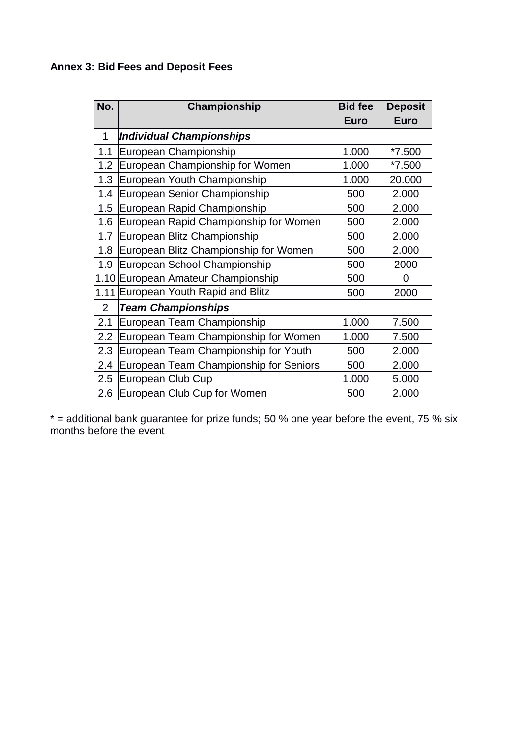# **Annex 3: Bid Fees and Deposit Fees**

| No.            | Championship                           | <b>Bid fee</b> | <b>Deposit</b> |
|----------------|----------------------------------------|----------------|----------------|
|                |                                        | <b>Euro</b>    | <b>Euro</b>    |
| 1              | <b>Individual Championships</b>        |                |                |
| 1.1            | European Championship                  | 1.000          | $*7.500$       |
| 1.2            | European Championship for Women        | 1.000          | $*7.500$       |
| 1.3            | European Youth Championship            | 1.000          | 20.000         |
| 1.4            | European Senior Championship           | 500            | 2.000          |
| 1.5            | European Rapid Championship            | 500            | 2.000          |
| 1.6            | European Rapid Championship for Women  | 500            | 2.000          |
| 1.7            | European Blitz Championship            | 500            | 2.000          |
| 1.8            | European Blitz Championship for Women  | 500            | 2.000          |
| 1.9            | European School Championship           | 500            | 2000           |
|                | 1.10 European Amateur Championship     | 500            | $\overline{0}$ |
| 1.11           | European Youth Rapid and Blitz         | 500            | 2000           |
| $\overline{2}$ | <b>Team Championships</b>              |                |                |
| 2.1            | European Team Championship             | 1.000          | 7.500          |
| 2.2            | European Team Championship for Women   | 1.000          | 7.500          |
| 2.3            | European Team Championship for Youth   | 500            | 2.000          |
| 2.4            | European Team Championship for Seniors | 500            | 2.000          |
| 2.5            | European Club Cup                      | 1.000          | 5.000          |
| 2.6            | European Club Cup for Women            | 500            | 2.000          |

\* = additional bank guarantee for prize funds; 50 % one year before the event, 75 % six months before the event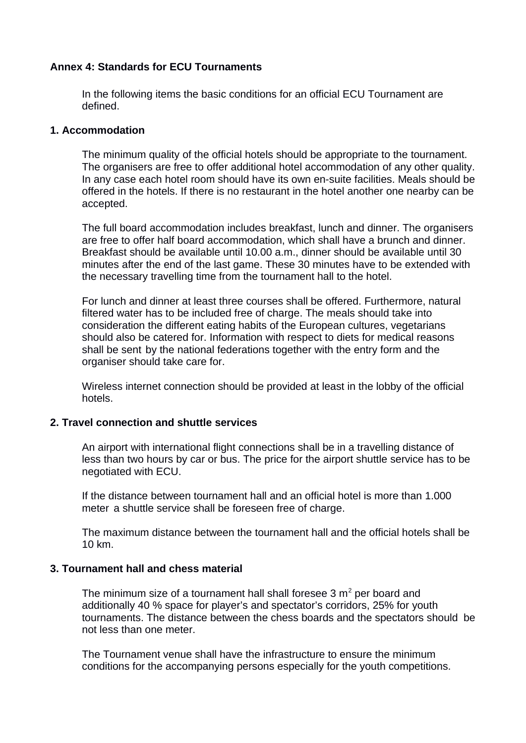#### **Annex 4: Standards for ECU Tournaments**

In the following items the basic conditions for an official ECU Tournament are defined.

#### **1. Accommodation**

The minimum quality of the official hotels should be appropriate to the tournament. The organisers are free to offer additional hotel accommodation of any other quality. In any case each hotel room should have its own en-suite facilities. Meals should be offered in the hotels. If there is no restaurant in the hotel another one nearby can be accepted.

The full board accommodation includes breakfast, lunch and dinner. The organisers are free to offer half board accommodation, which shall have a brunch and dinner. Breakfast should be available until 10.00 a.m., dinner should be available until 30 minutes after the end of the last game. These 30 minutes have to be extended with the necessary travelling time from the tournament hall to the hotel.

For lunch and dinner at least three courses shall be offered. Furthermore, natural filtered water has to be included free of charge. The meals should take into consideration the different eating habits of the European cultures, vegetarians should also be catered for. Information with respect to diets for medical reasons shall be sent by the national federations together with the entry form and the organiser should take care for.

Wireless internet connection should be provided at least in the lobby of the official hotels.

#### **2. Travel connection and shuttle services**

An airport with international flight connections shall be in a travelling distance of less than two hours by car or bus. The price for the airport shuttle service has to be negotiated with ECU.

If the distance between tournament hall and an official hotel is more than 1.000 meter a shuttle service shall be foreseen free of charge.

The maximum distance between the tournament hall and the official hotels shall be 10 km.

#### **3. Tournament hall and chess material**

The minimum size of a tournament hall shall foresee  $3 \text{ m}^2$  per board and additionally 40 % space for player's and spectator's corridors, 25% for youth tournaments. The distance between the chess boards and the spectators should be not less than one meter.

The Tournament venue shall have the infrastructure to ensure the minimum conditions for the accompanying persons especially for the youth competitions.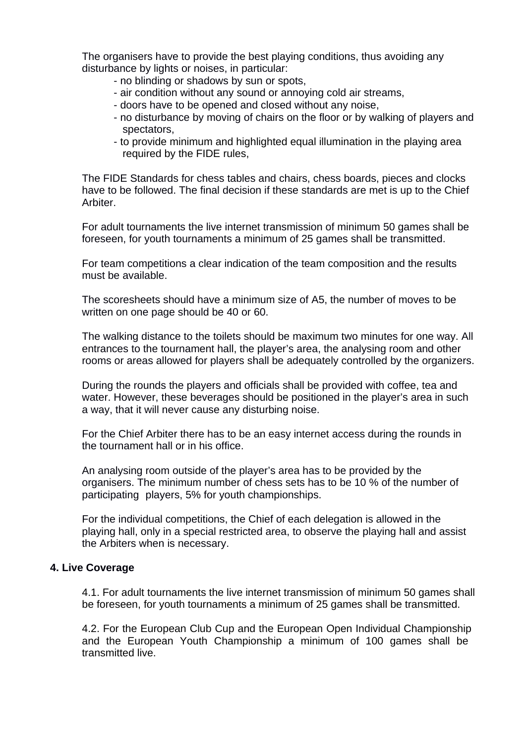The organisers have to provide the best playing conditions, thus avoiding any disturbance by lights or noises, in particular:

- no blinding or shadows by sun or spots,
- air condition without any sound or annoying cold air streams,
- doors have to be opened and closed without any noise,
- no disturbance by moving of chairs on the floor or by walking of players and spectators,
- to provide minimum and highlighted equal illumination in the playing area required by the FIDE rules,

The FIDE Standards for chess tables and chairs, chess boards, pieces and clocks have to be followed. The final decision if these standards are met is up to the Chief Arbiter.

For adult tournaments the live internet transmission of minimum 50 games shall be foreseen, for youth tournaments a minimum of 25 games shall be transmitted.

For team competitions a clear indication of the team composition and the results must be available.

The scoresheets should have a minimum size of A5, the number of moves to be written on one page should be 40 or 60.

The walking distance to the toilets should be maximum two minutes for one way. All entrances to the tournament hall, the player's area, the analysing room and other rooms or areas allowed for players shall be adequately controlled by the organizers.

During the rounds the players and officials shall be provided with coffee, tea and water. However, these beverages should be positioned in the player's area in such a way, that it will never cause any disturbing noise.

For the Chief Arbiter there has to be an easy internet access during the rounds in the tournament hall or in his office.

An analysing room outside of the player's area has to be provided by the organisers. The minimum number of chess sets has to be 10 % of the number of participating players, 5% for youth championships.

For the individual competitions, the Chief of each delegation is allowed in the playing hall, only in a special restricted area, to observe the playing hall and assist the Arbiters when is necessary.

#### **4. Live Coverage**

4.1. For adult tournaments the live internet transmission of minimum 50 games shall be foreseen, for youth tournaments a minimum of 25 games shall be transmitted.

4.2. For the European Club Cup and the European Open Individual Championship and the European Youth Championship a minimum of 100 games shall be transmitted live.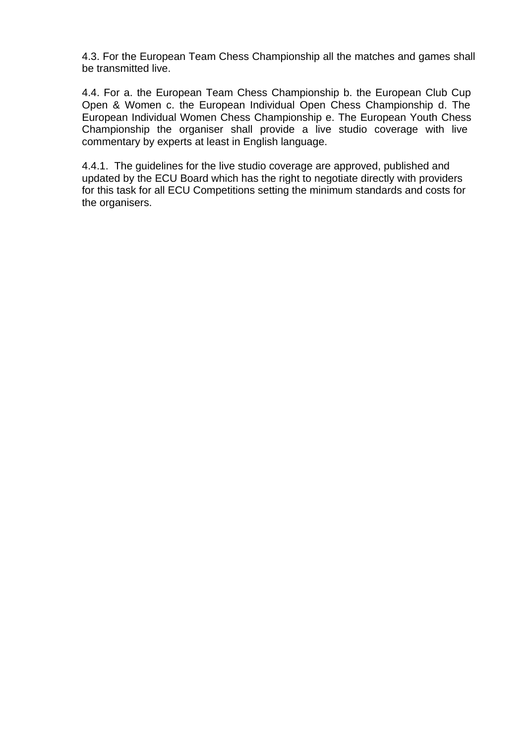4.3. For the European Team Chess Championship all the matches and games shall be transmitted live.

4.4. For a. the European Team Chess Championship b. the European Club Cup Open & Women c. the European Individual Open Chess Championship d. The European Individual Women Chess Championship e. The European Youth Chess Championship the organiser shall provide a live studio coverage with live commentary by experts at least in English language.

4.4.1. The guidelines for the live studio coverage are approved, published and updated by the ECU Board which has the right to negotiate directly with providers for this task for all ECU Competitions setting the minimum standards and costs for the organisers.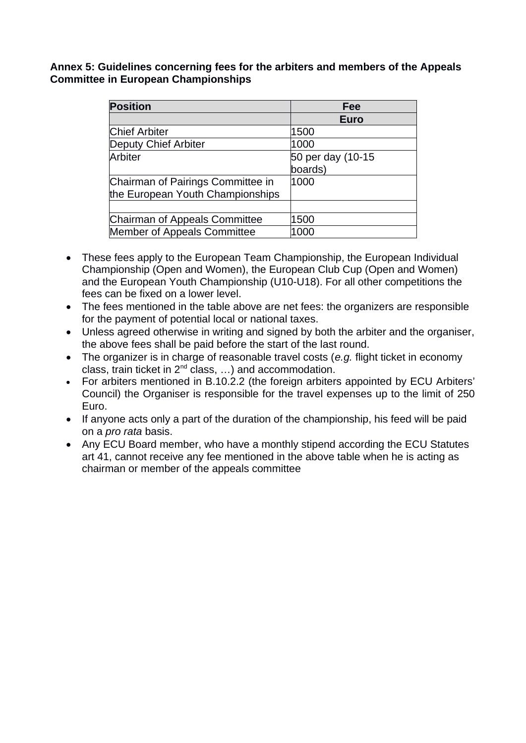**Annex 5: Guidelines concerning fees for the arbiters and members of the Appeals Committee in European Championships**

| <b>Position</b>                   | Fee               |
|-----------------------------------|-------------------|
|                                   | <b>Euro</b>       |
| <b>Chief Arbiter</b>              | 1500              |
| Deputy Chief Arbiter              | 1000              |
| Arbiter                           | 50 per day (10-15 |
|                                   | boards)           |
| Chairman of Pairings Committee in | 1000              |
| the European Youth Championships  |                   |
|                                   |                   |
| Chairman of Appeals Committee     | 1500              |
| Member of Appeals Committee       | 1000              |

- These fees apply to the European Team Championship, the European Individual Championship (Open and Women), the European Club Cup (Open and Women) and the European Youth Championship (U10-U18). For all other competitions the fees can be fixed on a lower level.
- The fees mentioned in the table above are net fees: the organizers are responsible for the payment of potential local or national taxes.
- Unless agreed otherwise in writing and signed by both the arbiter and the organiser, the above fees shall be paid before the start of the last round.
- The organizer is in charge of reasonable travel costs (*e.g.* flight ticket in economy class, train ticket in  $2^{nd}$  class, ...) and accommodation.
- For arbiters mentioned in B.10.2.2 (the foreign arbiters appointed by ECU Arbiters' Council) the Organiser is responsible for the travel expenses up to the limit of 250 Euro.
- If anyone acts only a part of the duration of the championship, his feed will be paid on a *pro rata* basis.
- Any ECU Board member, who have a monthly stipend according the ECU Statutes art 41, cannot receive any fee mentioned in the above table when he is acting as chairman or member of the appeals committee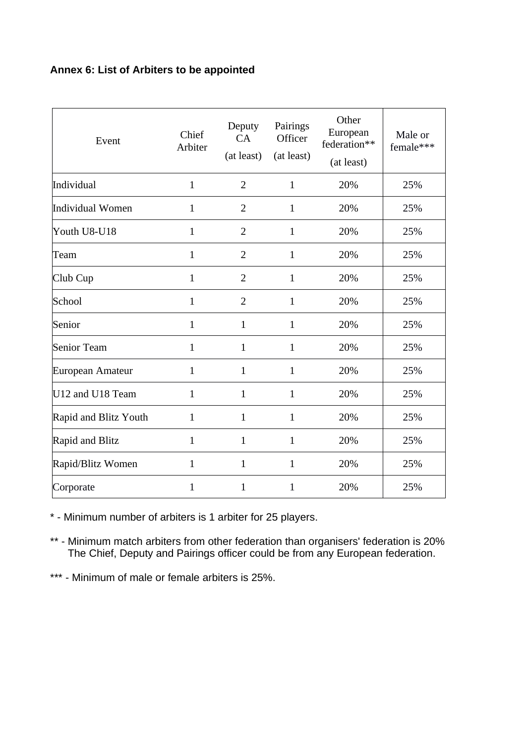# **Annex 6: List of Arbiters to be appointed**

| Event                 | Chief<br>Arbiter | Deputy<br>CA<br>(at least) | Pairings<br>Officer<br>(at least) | Other<br>European<br>federation**<br>(at least) | Male or<br>female*** |
|-----------------------|------------------|----------------------------|-----------------------------------|-------------------------------------------------|----------------------|
| Individual            | $\mathbf{1}$     | $\overline{2}$             | $\mathbf{1}$                      | 20%                                             | 25%                  |
| Individual Women      | $\mathbf{1}$     | $\overline{2}$             | $\mathbf{1}$                      | 20%                                             | 25%                  |
| Youth U8-U18          | $\mathbf{1}$     | $\overline{2}$             | $\mathbf{1}$                      | 20%                                             | 25%                  |
| Team                  | $\mathbf{1}$     | $\overline{2}$             | $\mathbf{1}$                      | 20%                                             | 25%                  |
| Club Cup              | $\mathbf{1}$     | $\overline{2}$             | $\mathbf{1}$                      | 20%                                             | 25%                  |
| School                | $\mathbf{1}$     | $\overline{2}$             | $\mathbf{1}$                      | 20%                                             | 25%                  |
| Senior                | $\mathbf{1}$     | $\mathbf{1}$               | $\mathbf{1}$                      | 20%                                             | 25%                  |
| Senior Team           | $\mathbf{1}$     | $\mathbf{1}$               | $\mathbf{1}$                      | 20%                                             | 25%                  |
| European Amateur      | $\mathbf{1}$     | $\mathbf{1}$               | $\mathbf{1}$                      | 20%                                             | 25%                  |
| U12 and U18 Team      | $\mathbf{1}$     | $\mathbf{1}$               | $\mathbf{1}$                      | 20%                                             | 25%                  |
| Rapid and Blitz Youth | $\mathbf{1}$     | $\mathbf{1}$               | $\mathbf{1}$                      | 20%                                             | 25%                  |
| Rapid and Blitz       | $\mathbf{1}$     | $\mathbf{1}$               | $\mathbf{1}$                      | 20%                                             | 25%                  |
| Rapid/Blitz Women     | $\mathbf{1}$     | $\mathbf{1}$               | $\mathbf{1}$                      | 20%                                             | 25%                  |
| Corporate             | $\mathbf{1}$     | $\overline{1}$             | $\mathbf{1}$                      | 20%                                             | 25%                  |

\* - Minimum number of arbiters is 1 arbiter for 25 players.

\*\* - Minimum match arbiters from other federation than organisers' federation is 20% The Chief, Deputy and Pairings officer could be from any European federation.

\*\*\* - Minimum of male or female arbiters is 25%.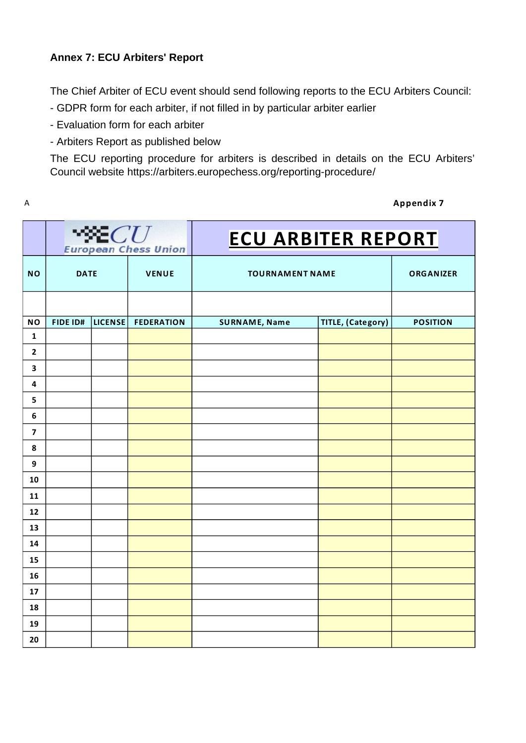# **Annex 7: ECU Arbiters' Report**

The Chief Arbiter of ECU event should send following reports to the ECU Arbiters Council:

- GDPR form for each arbiter, if not filled in by particular arbiter earlier
- Evaluation form for each arbiter
- Arbiters Report as published below

The ECU reporting procedure for arbiters is described in details on the ECU Arbiters' Council website<https://arbiters.europechess.org/reporting-procedure/>

| Δ | <b>Appendix 7</b> |
|---|-------------------|
|---|-------------------|

|                         | $\mathcal{X}$ and $CU$<br><b>European Chess Union</b> |                |                   | <b>ECU ARBITER REPORT</b> |                          |                 |
|-------------------------|-------------------------------------------------------|----------------|-------------------|---------------------------|--------------------------|-----------------|
| <b>NO</b>               | <b>DATE</b>                                           |                | <b>VENUE</b>      |                           | <b>TOURNAMENT NAME</b>   |                 |
|                         |                                                       |                |                   |                           |                          |                 |
| <b>NO</b>               | FIDE ID#                                              | <b>LICENSE</b> | <b>FEDERATION</b> | <b>SURNAME, Name</b>      | <b>TITLE, (Category)</b> | <b>POSITION</b> |
| $\mathbf 1$             |                                                       |                |                   |                           |                          |                 |
| $\mathbf{2}$            |                                                       |                |                   |                           |                          |                 |
| $\overline{\mathbf{3}}$ |                                                       |                |                   |                           |                          |                 |
| 4                       |                                                       |                |                   |                           |                          |                 |
| 5                       |                                                       |                |                   |                           |                          |                 |
| $\bf 6$                 |                                                       |                |                   |                           |                          |                 |
| $\overline{\mathbf{z}}$ |                                                       |                |                   |                           |                          |                 |
| 8                       |                                                       |                |                   |                           |                          |                 |
| 9                       |                                                       |                |                   |                           |                          |                 |
| 10                      |                                                       |                |                   |                           |                          |                 |
| 11                      |                                                       |                |                   |                           |                          |                 |
| 12                      |                                                       |                |                   |                           |                          |                 |
| 13                      |                                                       |                |                   |                           |                          |                 |
| 14                      |                                                       |                |                   |                           |                          |                 |
| 15                      |                                                       |                |                   |                           |                          |                 |
| 16                      |                                                       |                |                   |                           |                          |                 |
| 17                      |                                                       |                |                   |                           |                          |                 |
| 18                      |                                                       |                |                   |                           |                          |                 |
| 19                      |                                                       |                |                   |                           |                          |                 |
| 20                      |                                                       |                |                   |                           |                          |                 |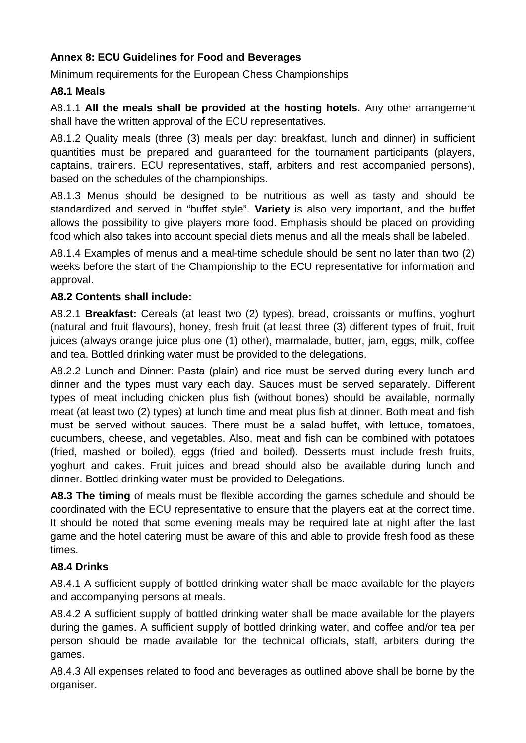# **Annex 8: ECU Guidelines for Food and Beverages**

Minimum requirements for the European Chess Championships

# **A8.1 Meals**

A8.1.1 **All the meals shall be provided at the hosting hotels.** Any other arrangement shall have the written approval of the ECU representatives.

A8.1.2 Quality meals (three (3) meals per day: breakfast, lunch and dinner) in sufficient quantities must be prepared and guaranteed for the tournament participants (players, captains, trainers. ECU representatives, staff, arbiters and rest accompanied persons), based on the schedules of the championships.

A8.1.3 Menus should be designed to be nutritious as well as tasty and should be standardized and served in "buffet style". **Variety** is also very important, and the buffet allows the possibility to give players more food. Emphasis should be placed on providing food which also takes into account special diets menus and all the meals shall be labeled.

A8.1.4 Examples of menus and a meal-time schedule should be sent no later than two (2) weeks before the start of the Championship to the ECU representative for information and approval.

# **A8.2 Contents shall include:**

A8.2.1 **Breakfast:** Cereals (at least two (2) types), bread, croissants or muffins, yoghurt (natural and fruit flavours), honey, fresh fruit (at least three (3) different types of fruit, fruit juices (always orange juice plus one (1) other), marmalade, butter, jam, eggs, milk, coffee and tea. Bottled drinking water must be provided to the delegations.

A8.2.2 Lunch and Dinner: Pasta (plain) and rice must be served during every lunch and dinner and the types must vary each day. Sauces must be served separately. Different types of meat including chicken plus fish (without bones) should be available, normally meat (at least two (2) types) at lunch time and meat plus fish at dinner. Both meat and fish must be served without sauces. There must be a salad buffet, with lettuce, tomatoes, cucumbers, cheese, and vegetables. Also, meat and fish can be combined with potatoes (fried, mashed or boiled), eggs (fried and boiled). Desserts must include fresh fruits, yoghurt and cakes. Fruit juices and bread should also be available during lunch and dinner. Bottled drinking water must be provided to Delegations.

**A8.3 The timing** of meals must be flexible according the games schedule and should be coordinated with the ECU representative to ensure that the players eat at the correct time. It should be noted that some evening meals may be required late at night after the last game and the hotel catering must be aware of this and able to provide fresh food as these times.

# **A8.4 Drinks**

A8.4.1 A sufficient supply of bottled drinking water shall be made available for the players and accompanying persons at meals.

A8.4.2 A sufficient supply of bottled drinking water shall be made available for the players during the games. A sufficient supply of bottled drinking water, and coffee and/or tea per person should be made available for the technical officials, staff, arbiters during the games.

A8.4.3 All expenses related to food and beverages as outlined above shall be borne by the organiser.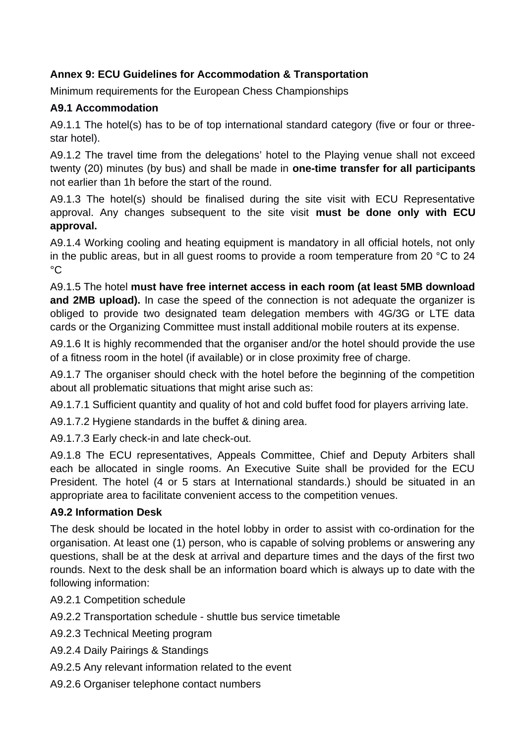# **Annex 9: ECU Guidelines for Accommodation & Transportation**

Minimum requirements for the European Chess Championships

# **A9.1 Accommodation**

A9.1.1 The hotel(s) has to be of top international standard category (five or four or threestar hotel).

A9.1.2 The travel time from the delegations' hotel to the Playing venue shall not exceed twenty (20) minutes (by bus) and shall be made in **one-time transfer for all participants** not earlier than 1h before the start of the round.

A9.1.3 The hotel(s) should be finalised during the site visit with ECU Representative approval. Any changes subsequent to the site visit **must be done only with ECU approval.**

A9.1.4 Working cooling and heating equipment is mandatory in all official hotels, not only in the public areas, but in all guest rooms to provide a room temperature from 20 °C to 24  $^{\circ}C$ 

A9.1.5 The hotel **must have free internet access in each room (at least 5MB download and 2MB upload).** In case the speed of the connection is not adequate the organizer is obliged to provide two designated team delegation members with 4G/3G or LTE data cards or the Organizing Committee must install additional mobile routers at its expense.

A9.1.6 It is highly recommended that the organiser and/or the hotel should provide the use of a fitness room in the hotel (if available) or in close proximity free of charge.

A9.1.7 The organiser should check with the hotel before the beginning of the competition about all problematic situations that might arise such as:

A9.1.7.1 Sufficient quantity and quality of hot and cold buffet food for players arriving late.

A9.1.7.2 Hygiene standards in the buffet & dining area.

A9.1.7.3 Early check-in and late check-out.

A9.1.8 The ECU representatives, Appeals Committee, Chief and Deputy Arbiters shall each be allocated in single rooms. An Executive Suite shall be provided for the ECU President. The hotel (4 or 5 stars at International standards.) should be situated in an appropriate area to facilitate convenient access to the competition venues.

# **A9.2 Information Desk**

The desk should be located in the hotel lobby in order to assist with co-ordination for the organisation. At least one (1) person, who is capable of solving problems or answering any questions, shall be at the desk at arrival and departure times and the days of the first two rounds. Next to the desk shall be an information board which is always up to date with the following information:

A9.2.1 Competition schedule

- A9.2.2 Transportation schedule shuttle bus service timetable
- A9.2.3 Technical Meeting program
- A9.2.4 Daily Pairings & Standings
- A9.2.5 Any relevant information related to the event
- A9.2.6 Organiser telephone contact numbers